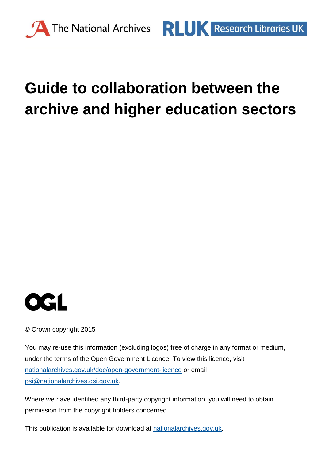

# **Guide to collaboration between the archive and higher education sectors**



© Crown copyright 2015

You may re-use this information (excluding logos) free of charge in any format or medium, under the terms of the Open Government Licence. To view this licence, visit [nationalarchives.gov.uk/doc/open-government-licence](http://nationalarchives.gov.uk/doc/open-government-licence) or email [psi@nationalarchives.gsi.gov.uk.](mailto:psi@nationalarchives.gsi.gov.uk)

Where we have identified any third-party copyright information, you will need to obtain permission from the copyright holders concerned.

This publication is available for download at [nationalarchives.gov.uk.](http://nationalarchives.gov.uk/)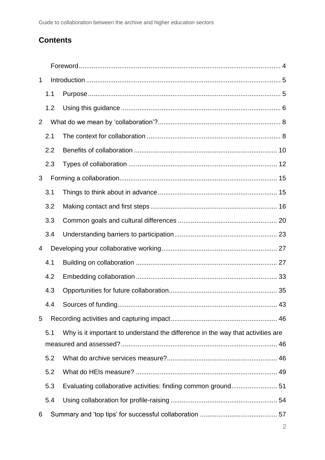# **Contents**

| $\mathbf 1$    |     |                                                                                 |  |  |
|----------------|-----|---------------------------------------------------------------------------------|--|--|
|                | 1.1 |                                                                                 |  |  |
|                | 1.2 |                                                                                 |  |  |
| 2              |     |                                                                                 |  |  |
|                | 2.1 |                                                                                 |  |  |
|                | 2.2 |                                                                                 |  |  |
|                | 2.3 |                                                                                 |  |  |
| 3              |     |                                                                                 |  |  |
|                | 3.1 |                                                                                 |  |  |
|                | 3.2 |                                                                                 |  |  |
|                | 3.3 |                                                                                 |  |  |
|                | 3.4 |                                                                                 |  |  |
| $\overline{4}$ |     |                                                                                 |  |  |
|                | 4.1 |                                                                                 |  |  |
|                | 4.2 |                                                                                 |  |  |
|                | 4.3 |                                                                                 |  |  |
|                | 4.4 | Sources of funding.<br>43                                                       |  |  |
| 5              |     |                                                                                 |  |  |
|                | 5.1 | Why is it important to understand the difference in the way that activities are |  |  |
|                |     |                                                                                 |  |  |
|                | 5.2 |                                                                                 |  |  |
|                | 5.2 |                                                                                 |  |  |
|                | 5.3 | Evaluating collaborative activities: finding common ground 51                   |  |  |
|                | 5.4 |                                                                                 |  |  |
| 6              |     |                                                                                 |  |  |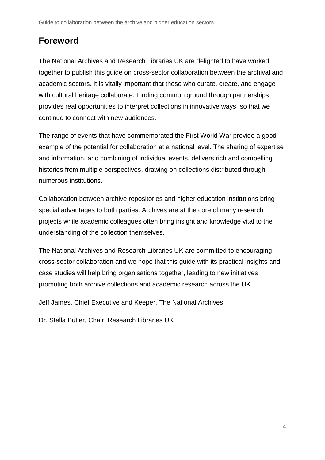# **Foreword**

The National Archives and Research Libraries UK are delighted to have worked together to publish this guide on cross-sector collaboration between the archival and academic sectors. It is vitally important that those who curate, create, and engage with cultural heritage collaborate. Finding common ground through partnerships provides real opportunities to interpret collections in innovative ways, so that we continue to connect with new audiences.

The range of events that have commemorated the First World War provide a good example of the potential for collaboration at a national level. The sharing of expertise and information, and combining of individual events, delivers rich and compelling histories from multiple perspectives, drawing on collections distributed through numerous institutions.

Collaboration between archive repositories and higher education institutions bring special advantages to both parties. Archives are at the core of many research projects while academic colleagues often bring insight and knowledge vital to the understanding of the collection themselves.

The National Archives and Research Libraries UK are committed to encouraging cross-sector collaboration and we hope that this guide with its practical insights and case studies will help bring organisations together, leading to new initiatives promoting both archive collections and academic research across the UK.

Jeff James, Chief Executive and Keeper, The National Archives

Dr. Stella Butler, Chair, Research Libraries UK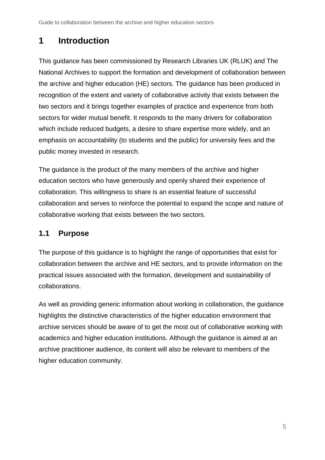# <span id="page-4-0"></span>**1 Introduction**

This guidance has been commissioned by Research Libraries UK (RLUK) and The National Archives to support the formation and development of collaboration between the archive and higher education (HE) sectors. The guidance has been produced in recognition of the extent and variety of collaborative activity that exists between the two sectors and it brings together examples of practice and experience from both sectors for wider mutual benefit. It responds to the many drivers for collaboration which include reduced budgets, a desire to share expertise more widely, and an emphasis on accountability (to students and the public) for university fees and the public money invested in research.

The guidance is the product of the many members of the archive and higher education sectors who have generously and openly shared their experience of collaboration. This willingness to share is an essential feature of successful collaboration and serves to reinforce the potential to expand the scope and nature of collaborative working that exists between the two sectors.

## <span id="page-4-1"></span>**1.1 Purpose**

The purpose of this guidance is to highlight the range of opportunities that exist for collaboration between the archive and HE sectors, and to provide information on the practical issues associated with the formation, development and sustainability of collaborations.

As well as providing generic information about working in collaboration, the guidance highlights the distinctive characteristics of the higher education environment that archive services should be aware of to get the most out of collaborative working with academics and higher education institutions. Although the guidance is aimed at an archive practitioner audience, its content will also be relevant to members of the higher education community.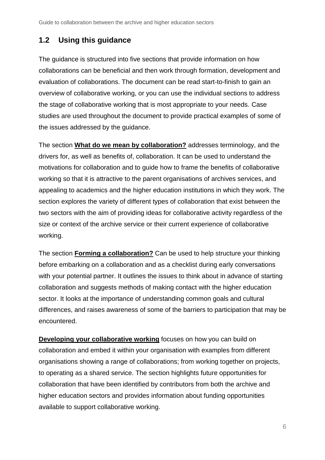# <span id="page-5-0"></span>**1.2 Using this guidance**

The guidance is structured into five sections that provide information on how collaborations can be beneficial and then work through formation, development and evaluation of collaborations. The document can be read start-to-finish to gain an overview of collaborative working, or you can use the individual sections to address the stage of collaborative working that is most appropriate to your needs. Case studies are used throughout the document to provide practical examples of some of the issues addressed by the guidance.

The section **[What do we mean by collaboration?](#page-6-0)** addresses terminology, and the drivers for, as well as benefits of, collaboration. It can be used to understand the motivations for collaboration and to guide how to frame the benefits of collaborative working so that it is attractive to the parent organisations of archives services, and appealing to academics and the higher education institutions in which they work. The section explores the variety of different types of collaboration that exist between the two sectors with the aim of providing ideas for collaborative activity regardless of the size or context of the archive service or their current experience of collaborative working.

The section **[Forming a collaboration?](#page-13-0)** Can be used to help structure your thinking before embarking on a collaboration and as a checklist during early conversations with your potential partner. It outlines the issues to think about in advance of starting collaboration and suggests methods of making contact with the higher education sector. It looks at the importance of understanding common goals and cultural differences, and raises awareness of some of the barriers to participation that may be encountered.

**[Developing your collaborative working](#page-25-0)** focuses on how you can build on collaboration and embed it within your organisation with examples from different organisations showing a range of collaborations; from working together on projects, to operating as a shared service. The section highlights future opportunities for collaboration that have been identified by contributors from both the archive and higher education sectors and provides information about funding opportunities available to support collaborative working.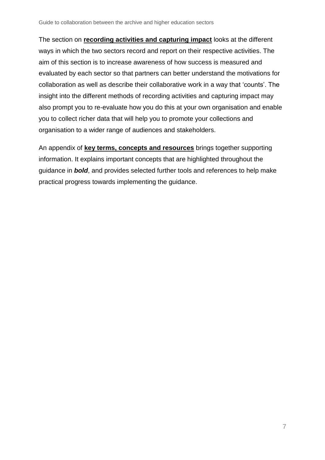The section on **[recording activities and](#page-44-0) capturing impact** looks at the different ways in which the two sectors record and report on their respective activities. The aim of this section is to increase awareness of how success is measured and evaluated by each sector so that partners can better understand the motivations for collaboration as well as describe their collaborative work in a way that 'counts'. The insight into the different methods of recording activities and capturing impact may also prompt you to re-evaluate how you do this at your own organisation and enable you to collect richer data that will help you to promote your collections and organisation to a wider range of audiences and stakeholders.

<span id="page-6-0"></span>An appendix of **[key terms, concepts and resources](#page-57-0)** brings together supporting information. It explains important concepts that are highlighted throughout the guidance in *bold*, and provides selected further tools and references to help make practical progress towards implementing the guidance.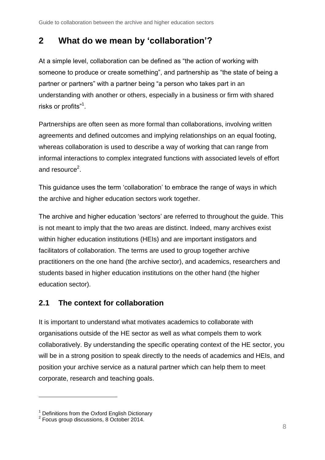# <span id="page-7-0"></span>**2 What do we mean by 'collaboration'?**

At a simple level, collaboration can be defined as "the action of working with someone to produce or create something", and partnership as "the state of being a partner or partners" with a partner being "a person who takes part in an understanding with another or others, especially in a business or firm with shared risks or profits" $^1$ .

Partnerships are often seen as more formal than collaborations, involving written agreements and defined outcomes and implying relationships on an equal footing, whereas collaboration is used to describe a way of working that can range from informal interactions to complex integrated functions with associated levels of effort and resource<sup>2</sup>.

This guidance uses the term 'collaboration' to embrace the range of ways in which the archive and higher education sectors work together.

The archive and higher education 'sectors' are referred to throughout the guide. This is not meant to imply that the two areas are distinct. Indeed, many archives exist within higher education institutions (HEIs) and are important instigators and facilitators of collaboration. The terms are used to group together archive practitioners on the one hand (the archive sector), and academics, researchers and students based in higher education institutions on the other hand (the higher education sector).

# <span id="page-7-1"></span>**2.1 The context for collaboration**

It is important to understand what motivates academics to collaborate with organisations outside of the HE sector as well as what compels them to work collaboratively. By understanding the specific operating context of the HE sector, you will be in a strong position to speak directly to the needs of academics and HEIs, and position your archive service as a natural partner which can help them to meet corporate, research and teaching goals.

 $\overline{a}$ 

 $^{\rm 1}$  Definitions from the Oxford English Dictionary<br> $^{\rm 2}$  Focus group discussions, 8 October 2014.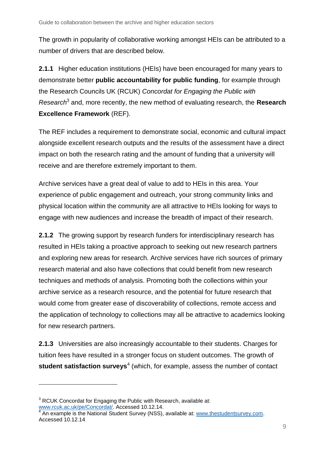The growth in popularity of collaborative working amongst HEIs can be attributed to a number of drivers that are described below.

**2.1.1** Higher education institutions (HEIs) have been encouraged for many years to demonstrate better **public accountability for public funding**, for example through the Research Councils UK (RCUK) *Concordat for Engaging the Public with Research*<sup>3</sup> and, more recently, the new method of evaluating research, the **Research Excellence Framework** (REF).

The REF includes a requirement to demonstrate social, economic and cultural impact alongside excellent research outputs and the results of the assessment have a direct impact on both the research rating and the amount of funding that a university will receive and are therefore extremely important to them.

Archive services have a great deal of value to add to HEIs in this area. Your experience of public engagement and outreach, your strong community links and physical location within the community are all attractive to HEIs looking for ways to engage with new audiences and increase the breadth of impact of their research.

**2.1.2** The growing support by research funders for interdisciplinary research has resulted in HEIs taking a proactive approach to seeking out new research partners and exploring new areas for research. Archive services have rich sources of primary research material and also have collections that could benefit from new research techniques and methods of analysis. Promoting both the collections within your archive service as a research resource, and the potential for future research that would come from greater ease of discoverability of collections, remote access and the application of technology to collections may all be attractive to academics looking for new research partners.

**2.1.3** Universities are also increasingly accountable to their students. Charges for tuition fees have resulted in a stronger focus on student outcomes. The growth of **student satisfaction surveys**<sup>4</sup> (which, for example, assess the number of contact

l

 $3$  RCUK Concordat for Engaging the Public with Research, available at: [www.rcuk.ac.uk/pe/Concordat/.](http://www.rcuk.ac.uk/pe/Concordat/) Accessed 10.12.14.<br><sup>4</sup> An example is the National Student Survey (NSS)

An example is the National Student Survey (NSS), available at: [www.thestudentsurvey.com.](http://www.thestudentsurvey.com/) Accessed 10.12.14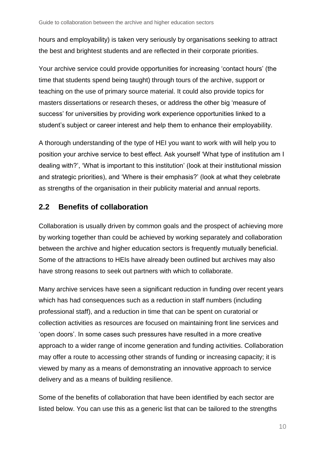hours and employability) is taken very seriously by organisations seeking to attract the best and brightest students and are reflected in their corporate priorities.

Your archive service could provide opportunities for increasing 'contact hours' (the time that students spend being taught) through tours of the archive, support or teaching on the use of primary source material. It could also provide topics for masters dissertations or research theses, or address the other big 'measure of success' for universities by providing work experience opportunities linked to a student's subject or career interest and help them to enhance their employability.

A thorough understanding of the type of HEI you want to work with will help you to position your archive service to best effect. Ask yourself 'What type of institution am I dealing with?', 'What is important to this institution' (look at their institutional mission and strategic priorities), and 'Where is their emphasis?' (look at what they celebrate as strengths of the organisation in their publicity material and annual reports.

## <span id="page-9-0"></span>**2.2 Benefits of collaboration**

Collaboration is usually driven by common goals and the prospect of achieving more by working together than could be achieved by working separately and collaboration between the archive and higher education sectors is frequently mutually beneficial. Some of the attractions to HEIs have already been outlined but archives may also have strong reasons to seek out partners with which to collaborate.

Many archive services have seen a significant reduction in funding over recent years which has had consequences such as a reduction in staff numbers (including professional staff), and a reduction in time that can be spent on curatorial or collection activities as resources are focused on maintaining front line services and 'open doors'. In some cases such pressures have resulted in a more creative approach to a wider range of income generation and funding activities. Collaboration may offer a route to accessing other strands of funding or increasing capacity; it is viewed by many as a means of demonstrating an innovative approach to service delivery and as a means of building resilience.

Some of the benefits of collaboration that have been identified by each sector are listed below. You can use this as a generic list that can be tailored to the strengths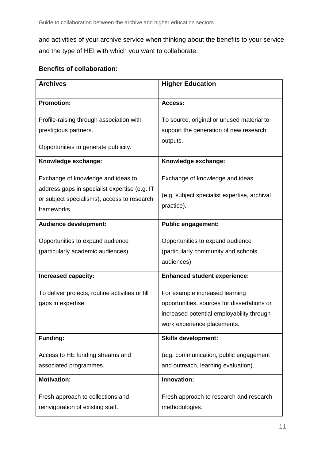and activities of your archive service when thinking about the benefits to your service and the type of HEI with which you want to collaborate.

## **Benefits of collaboration:**

| <b>Archives</b>                                                                     | <b>Higher Education</b>                                                                                                                                   |  |  |
|-------------------------------------------------------------------------------------|-----------------------------------------------------------------------------------------------------------------------------------------------------------|--|--|
| <b>Promotion:</b>                                                                   | Access:                                                                                                                                                   |  |  |
| Profile-raising through association with<br>prestigious partners.                   | To source, original or unused material to<br>support the generation of new research                                                                       |  |  |
| Opportunities to generate publicity.                                                | outputs.                                                                                                                                                  |  |  |
| Knowledge exchange:                                                                 | Knowledge exchange:                                                                                                                                       |  |  |
| Exchange of knowledge and ideas to<br>address gaps in specialist expertise (e.g. IT | Exchange of knowledge and ideas                                                                                                                           |  |  |
| or subject specialisms), access to research<br>frameworks.                          | (e.g. subject specialist expertise, archival<br>practice).                                                                                                |  |  |
| <b>Audience development:</b>                                                        | <b>Public engagement:</b>                                                                                                                                 |  |  |
| Opportunities to expand audience<br>(particularly academic audiences).              | Opportunities to expand audience<br>(particularly community and schools<br>audiences).                                                                    |  |  |
| <b>Increased capacity:</b>                                                          | <b>Enhanced student experience:</b>                                                                                                                       |  |  |
| To deliver projects, routine activities or fill<br>gaps in expertise.               | For example increased learning<br>opportunities, sources for dissertations or<br>increased potential employability through<br>work experience placements. |  |  |
| <b>Funding:</b>                                                                     | <b>Skills development:</b>                                                                                                                                |  |  |
| Access to HE funding streams and<br>associated programmes.                          | (e.g. communication, public engagement<br>and outreach, learning evaluation).                                                                             |  |  |
| <b>Motivation:</b>                                                                  | Innovation:                                                                                                                                               |  |  |
| Fresh approach to collections and<br>reinvigoration of existing staff.              | Fresh approach to research and research<br>methodologies.                                                                                                 |  |  |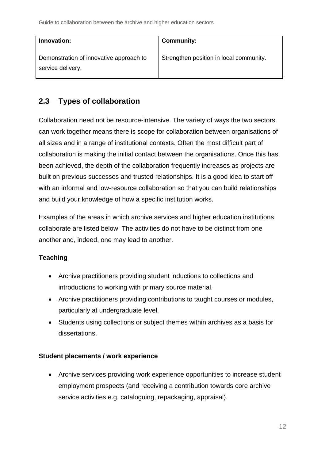| Innovation:                                                  | <b>Community:</b>                       |
|--------------------------------------------------------------|-----------------------------------------|
| Demonstration of innovative approach to<br>service delivery. | Strengthen position in local community. |

# <span id="page-11-0"></span>**2.3 Types of collaboration**

Collaboration need not be resource-intensive. The variety of ways the two sectors can work together means there is scope for collaboration between organisations of all sizes and in a range of institutional contexts. Often the most difficult part of collaboration is making the initial contact between the organisations. Once this has been achieved, the depth of the collaboration frequently increases as projects are built on previous successes and trusted relationships. It is a good idea to start off with an informal and low-resource collaboration so that you can build relationships and build your knowledge of how a specific institution works.

Examples of the areas in which archive services and higher education institutions collaborate are listed below. The activities do not have to be distinct from one another and, indeed, one may lead to another.

## **Teaching**

- Archive practitioners providing student inductions to collections and introductions to working with primary source material.
- Archive practitioners providing contributions to taught courses or modules, particularly at undergraduate level.
- Students using collections or subject themes within archives as a basis for dissertations.

#### **Student placements / work experience**

 Archive services providing work experience opportunities to increase student employment prospects (and receiving a contribution towards core archive service activities e.g. cataloguing, repackaging, appraisal).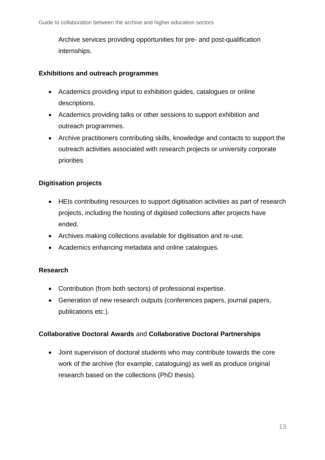Archive services providing opportunities for pre- and post-qualification internships.

#### **Exhibitions and outreach programmes**

- Academics providing input to exhibition guides, catalogues or online descriptions.
- Academics providing talks or other sessions to support exhibition and outreach programmes.
- Archive practitioners contributing skills, knowledge and contacts to support the outreach activities associated with research projects or university corporate priorities

## **Digitisation projects**

- HEIs contributing resources to support digitisation activities as part of research projects, including the hosting of digitised collections after projects have ended.
- Archives making collections available for digitisation and re-use.
- Academics enhancing metadata and online catalogues.

#### **Research**

- Contribution (from both sectors) of professional expertise.
- Generation of new research outputs (conferences papers, journal papers, publications etc.).

#### **Collaborative Doctoral Awards** and **Collaborative Doctoral Partnerships**

 Joint supervision of doctoral students who may contribute towards the core work of the archive (for example, cataloguing) as well as produce original research based on the collections (PhD thesis).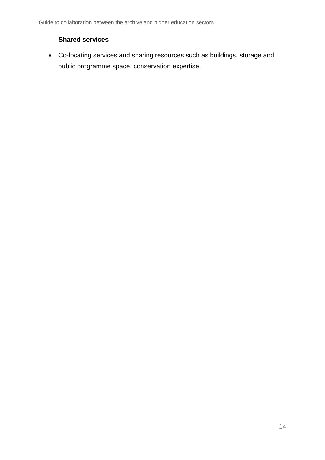#### **Shared services**

<span id="page-13-0"></span> Co-locating services and sharing resources such as buildings, storage and public programme space, conservation expertise.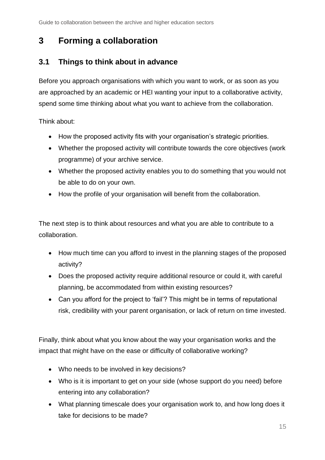# <span id="page-14-0"></span>**3 Forming a collaboration**

# <span id="page-14-1"></span>**3.1 Things to think about in advance**

Before you approach organisations with which you want to work, or as soon as you are approached by an academic or HEI wanting your input to a collaborative activity, spend some time thinking about what you want to achieve from the collaboration.

Think about:

- How the proposed activity fits with your organisation's strategic priorities.
- Whether the proposed activity will contribute towards the core objectives (work programme) of your archive service.
- Whether the proposed activity enables you to do something that you would not be able to do on your own.
- How the profile of your organisation will benefit from the collaboration.

The next step is to think about resources and what you are able to contribute to a collaboration.

- How much time can you afford to invest in the planning stages of the proposed activity?
- Does the proposed activity require additional resource or could it, with careful planning, be accommodated from within existing resources?
- Can you afford for the project to 'fail'? This might be in terms of reputational risk, credibility with your parent organisation, or lack of return on time invested.

Finally, think about what you know about the way your organisation works and the impact that might have on the ease or difficulty of collaborative working?

- Who needs to be involved in key decisions?
- Who is it is important to get on your side (whose support do you need) before entering into any collaboration?
- What planning timescale does your organisation work to, and how long does it take for decisions to be made?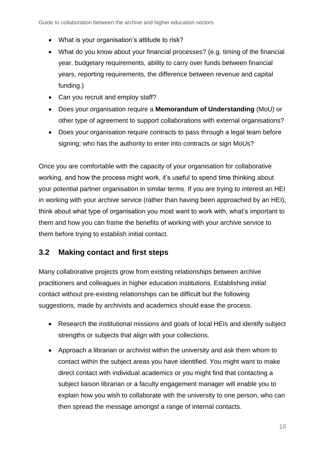- What is your organisation's attitude to risk?
- What do you know about your financial processes? (e.g. timing of the financial year, budgetary requirements, ability to carry over funds between financial years, reporting requirements, the difference between revenue and capital funding.)
- Can you recruit and employ staff?
- Does your organisation require a **Memorandum of Understanding** (MoU) or other type of agreement to support collaborations with external organisations?
- Does your organisation require contracts to pass through a legal team before signing; who has the authority to enter into contracts or sign MoUs?

Once you are comfortable with the capacity of your organisation for collaborative working, and how the process might work, it's useful to spend time thinking about your potential partner organisation in similar terms. If you are trying to interest an HEI in working with your archive service (rather than having been approached by an HEI), think about what type of organisation you most want to work with, what's important to them and how you can frame the benefits of working with your archive service to them before trying to establish initial contact.

# <span id="page-15-0"></span>**3.2 Making contact and first steps**

Many collaborative projects grow from existing relationships between archive practitioners and colleagues in higher education institutions. Establishing initial contact without pre-existing relationships can be difficult but the following suggestions, made by archivists and academics should ease the process.

- Research the institutional missions and goals of local HEIs and identify subject strengths or subjects that align with your collections.
- Approach a librarian or archivist within the university and ask them whom to contact within the subject areas you have identified. You might want to make direct contact with individual academics or you might find that contacting a subject liaison librarian or a faculty engagement manager will enable you to explain how you wish to collaborate with the university to one person, who can then spread the message amongst a range of internal contacts.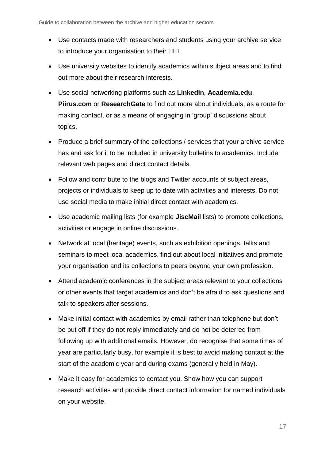- Use contacts made with researchers and students using your archive service to introduce your organisation to their HEI.
- Use university websites to identify academics within subject areas and to find out more about their research interests.
- Use social networking platforms such as **LinkedIn**, **Academia.edu**, **Piirus.com** or **ResearchGate** to find out more about individuals, as a route for making contact, or as a means of engaging in 'group' discussions about topics.
- Produce a brief summary of the collections / services that your archive service has and ask for it to be included in university bulletins to academics. Include relevant web pages and direct contact details.
- Follow and contribute to the blogs and Twitter accounts of subject areas, projects or individuals to keep up to date with activities and interests. Do not use social media to make initial direct contact with academics.
- Use academic mailing lists (for example **JiscMail** lists) to promote collections, activities or engage in online discussions.
- Network at local (heritage) events, such as exhibition openings, talks and seminars to meet local academics, find out about local initiatives and promote your organisation and its collections to peers beyond your own profession.
- Attend academic conferences in the subject areas relevant to your collections or other events that target academics and don't be afraid to ask questions and talk to speakers after sessions.
- Make initial contact with academics by email rather than telephone but don't be put off if they do not reply immediately and do not be deterred from following up with additional emails. However, do recognise that some times of year are particularly busy, for example it is best to avoid making contact at the start of the academic year and during exams (generally held in May).
- Make it easy for academics to contact you. Show how you can support research activities and provide direct contact information for named individuals on your website.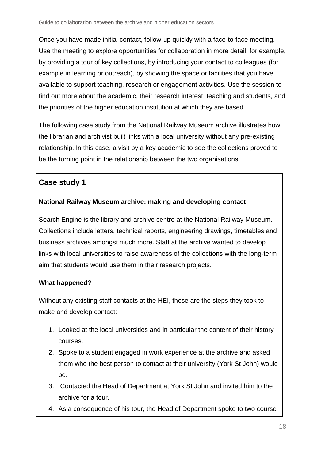Once you have made initial contact, follow-up quickly with a face-to-face meeting. Use the meeting to explore opportunities for collaboration in more detail, for example, by providing a tour of key collections, by introducing your contact to colleagues (for example in learning or outreach), by showing the space or facilities that you have available to support teaching, research or engagement activities. Use the session to find out more about the academic, their research interest, teaching and students, and the priorities of the higher education institution at which they are based.

The following case study from the National Railway Museum archive illustrates how the librarian and archivist built links with a local university without any pre-existing relationship. In this case, a visit by a key academic to see the collections proved to be the turning point in the relationship between the two organisations.

# **Case study 1**

## **National Railway Museum archive: making and developing contact**

Search Engine is the library and archive centre at the National Railway Museum. Collections include letters, technical reports, engineering drawings, timetables and business archives amongst much more. Staff at the archive wanted to develop links with local universities to raise awareness of the collections with the long-term aim that students would use them in their research projects.

## **What happened?**

Without any existing staff contacts at the HEI, these are the steps they took to make and develop contact:

- 1. Looked at the local universities and in particular the content of their history courses.
- 2. Spoke to a student engaged in work experience at the archive and asked them who the best person to contact at their university (York St John) would be.
- 3. Contacted the Head of Department at York St John and invited him to the archive for a tour.
- 4. As a consequence of his tour, the Head of Department spoke to two course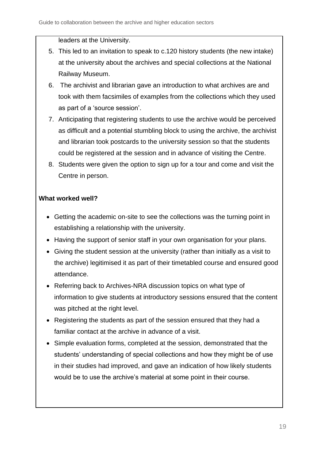leaders at the University.

- 5. This led to an invitation to speak to c.120 history students (the new intake) at the university about the archives and special collections at the National Railway Museum.
- 6. The archivist and librarian gave an introduction to what archives are and took with them facsimiles of examples from the collections which they used as part of a 'source session'.
- 7. Anticipating that registering students to use the archive would be perceived as difficult and a potential stumbling block to using the archive, the archivist and librarian took postcards to the university session so that the students could be registered at the session and in advance of visiting the Centre.
- 8. Students were given the option to sign up for a tour and come and visit the Centre in person.

## **What worked well?**

- Getting the academic on-site to see the collections was the turning point in establishing a relationship with the university.
- Having the support of senior staff in your own organisation for your plans.
- Giving the student session at the university (rather than initially as a visit to the archive) legitimised it as part of their timetabled course and ensured good attendance.
- Referring back to Archives-NRA discussion topics on what type of information to give students at introductory sessions ensured that the content was pitched at the right level.
- Registering the students as part of the session ensured that they had a familiar contact at the archive in advance of a visit.
- Simple evaluation forms, completed at the session, demonstrated that the students' understanding of special collections and how they might be of use in their studies had improved, and gave an indication of how likely students would be to use the archive's material at some point in their course.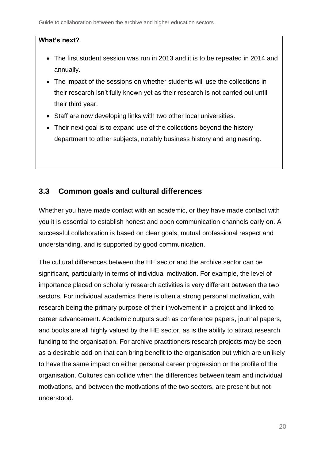#### **What's next?**

- The first student session was run in 2013 and it is to be repeated in 2014 and annually.
- The impact of the sessions on whether students will use the collections in their research isn't fully known yet as their research is not carried out until their third year.
- Staff are now developing links with two other local universities.
- Their next goal is to expand use of the collections beyond the history department to other subjects, notably business history and engineering.

## <span id="page-19-0"></span>**3.3 Common goals and cultural differences**

Whether you have made contact with an academic, or they have made contact with you it is essential to establish honest and open communication channels early on. A successful collaboration is based on clear goals, mutual professional respect and understanding, and is supported by good communication.

The cultural differences between the HE sector and the archive sector can be significant, particularly in terms of individual motivation. For example, the level of importance placed on scholarly research activities is very different between the two sectors. For individual academics there is often a strong personal motivation, with research being the primary purpose of their involvement in a project and linked to career advancement. Academic outputs such as conference papers, journal papers, and books are all highly valued by the HE sector, as is the ability to attract research funding to the organisation. For archive practitioners research projects may be seen as a desirable add-on that can bring benefit to the organisation but which are unlikely to have the same impact on either personal career progression or the profile of the organisation. Cultures can collide when the differences between team and individual motivations, and between the motivations of the two sectors, are present but not understood.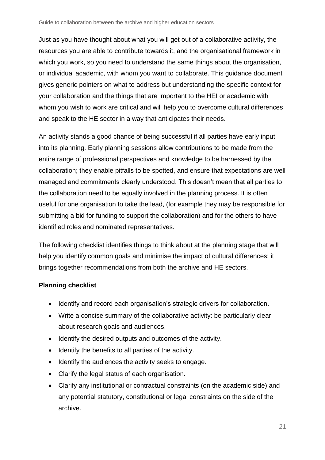Just as you have thought about what you will get out of a collaborative activity, the resources you are able to contribute towards it, and the organisational framework in which you work, so you need to understand the same things about the organisation, or individual academic, with whom you want to collaborate. This guidance document gives generic pointers on what to address but understanding the specific context for your collaboration and the things that are important to the HEI or academic with whom you wish to work are critical and will help you to overcome cultural differences and speak to the HE sector in a way that anticipates their needs.

An activity stands a good chance of being successful if all parties have early input into its planning. Early planning sessions allow contributions to be made from the entire range of professional perspectives and knowledge to be harnessed by the collaboration; they enable pitfalls to be spotted, and ensure that expectations are well managed and commitments clearly understood. This doesn't mean that all parties to the collaboration need to be equally involved in the planning process. It is often useful for one organisation to take the lead, (for example they may be responsible for submitting a bid for funding to support the collaboration) and for the others to have identified roles and nominated representatives.

The following checklist identifies things to think about at the planning stage that will help you identify common goals and minimise the impact of cultural differences; it brings together recommendations from both the archive and HE sectors.

#### **Planning checklist**

- Identify and record each organisation's strategic drivers for collaboration.
- Write a concise summary of the collaborative activity: be particularly clear about research goals and audiences.
- Identify the desired outputs and outcomes of the activity.
- Identify the benefits to all parties of the activity.
- Identify the audiences the activity seeks to engage.
- Clarify the legal status of each organisation.
- Clarify any institutional or contractual constraints (on the academic side) and any potential statutory, constitutional or legal constraints on the side of the archive.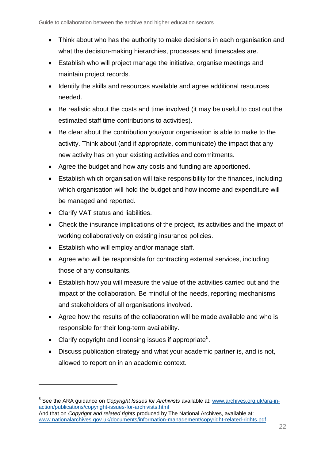- Think about who has the authority to make decisions in each organisation and what the decision-making hierarchies, processes and timescales are.
- Establish who will project manage the initiative, organise meetings and maintain project records.
- Identify the skills and resources available and agree additional resources needed.
- Be realistic about the costs and time involved (it may be useful to cost out the estimated staff time contributions to activities).
- Be clear about the contribution you/your organisation is able to make to the activity. Think about (and if appropriate, communicate) the impact that any new activity has on your existing activities and commitments.
- Agree the budget and how any costs and funding are apportioned.
- Establish which organisation will take responsibility for the finances, including which organisation will hold the budget and how income and expenditure will be managed and reported.
- Clarify VAT status and liabilities.

l

- Check the insurance implications of the project, its activities and the impact of working collaboratively on existing insurance policies.
- Establish who will employ and/or manage staff.
- Agree who will be responsible for contracting external services, including those of any consultants.
- Establish how you will measure the value of the activities carried out and the impact of the collaboration. Be mindful of the needs, reporting mechanisms and stakeholders of all organisations involved.
- Agree how the results of the collaboration will be made available and who is responsible for their long-term availability.
- Clarify copyright and licensing issues if appropriate<sup>5</sup>.
- Discuss publication strategy and what your academic partner is, and is not, allowed to report on in an academic context.

<sup>5</sup> See the ARA guidance on *Copyright Issues for Archivists* available at: [www.archives.org.uk/ara-in](http://www.archives.org.uk/ara-in-action/publications/copyright-issues-for-archivists.html)[action/publications/copyright-issues-for-archivists.html](http://www.archives.org.uk/ara-in-action/publications/copyright-issues-for-archivists.html)

And that on *Copyright and related rights* produced by The National Archives, available at: [www.nationalarchives.gov.uk/documents/information-management/copyright-related-rights.pdf](http://www.nationalarchives.gov.uk/documents/information-management/copyright-related-rights.pdf)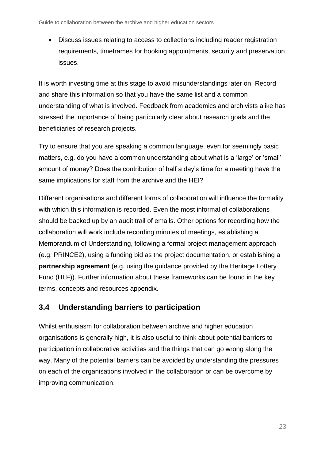Discuss issues relating to access to collections including reader registration requirements, timeframes for booking appointments, security and preservation issues.

It is worth investing time at this stage to avoid misunderstandings later on. Record and share this information so that you have the same list and a common understanding of what is involved. Feedback from academics and archivists alike has stressed the importance of being particularly clear about research goals and the beneficiaries of research projects.

Try to ensure that you are speaking a common language, even for seemingly basic matters, e.g. do you have a common understanding about what is a 'large' or 'small' amount of money? Does the contribution of half a day's time for a meeting have the same implications for staff from the archive and the HEI?

Different organisations and different forms of collaboration will influence the formality with which this information is recorded. Even the most informal of collaborations should be backed up by an audit trail of emails. Other options for recording how the collaboration will work include recording minutes of meetings, establishing a Memorandum of Understanding, following a formal project management approach (e.g. PRINCE2), using a funding bid as the project documentation, or establishing a **partnership agreement** (e.g. using the guidance provided by the Heritage Lottery Fund (HLF)). Further information about these frameworks can be found in the key terms, concepts and resources appendix.

# <span id="page-22-0"></span>**3.4 Understanding barriers to participation**

Whilst enthusiasm for collaboration between archive and higher education organisations is generally high, it is also useful to think about potential barriers to participation in collaborative activities and the things that can go wrong along the way. Many of the potential barriers can be avoided by understanding the pressures on each of the organisations involved in the collaboration or can be overcome by improving communication.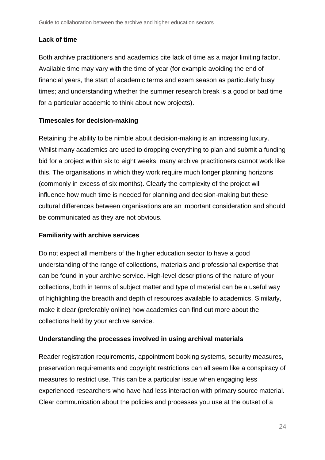#### **Lack of time**

Both archive practitioners and academics cite lack of time as a major limiting factor. Available time may vary with the time of year (for example avoiding the end of financial years, the start of academic terms and exam season as particularly busy times; and understanding whether the summer research break is a good or bad time for a particular academic to think about new projects).

#### **Timescales for decision-making**

Retaining the ability to be nimble about decision-making is an increasing luxury. Whilst many academics are used to dropping everything to plan and submit a funding bid for a project within six to eight weeks, many archive practitioners cannot work like this. The organisations in which they work require much longer planning horizons (commonly in excess of six months). Clearly the complexity of the project will influence how much time is needed for planning and decision-making but these cultural differences between organisations are an important consideration and should be communicated as they are not obvious.

#### **Familiarity with archive services**

Do not expect all members of the higher education sector to have a good understanding of the range of collections, materials and professional expertise that can be found in your archive service. High-level descriptions of the nature of your collections, both in terms of subject matter and type of material can be a useful way of highlighting the breadth and depth of resources available to academics. Similarly, make it clear (preferably online) how academics can find out more about the collections held by your archive service.

#### **Understanding the processes involved in using archival materials**

Reader registration requirements, appointment booking systems, security measures, preservation requirements and copyright restrictions can all seem like a conspiracy of measures to restrict use. This can be a particular issue when engaging less experienced researchers who have had less interaction with primary source material. Clear communication about the policies and processes you use at the outset of a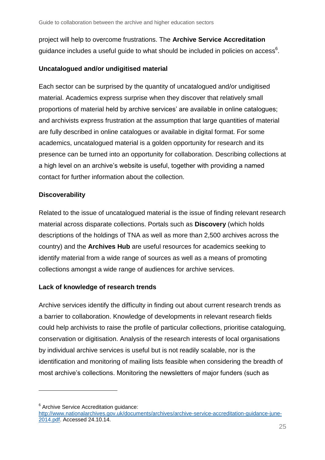project will help to overcome frustrations. The **Archive Service Accreditation** guidance includes a useful guide to what should be included in policies on access $\rm^6$ .

#### **Uncatalogued and/or undigitised material**

Each sector can be surprised by the quantity of uncatalogued and/or undigitised material. Academics express surprise when they discover that relatively small proportions of material held by archive services' are available in online catalogues; and archivists express frustration at the assumption that large quantities of material are fully described in online catalogues or available in digital format. For some academics, uncatalogued material is a golden opportunity for research and its presence can be turned into an opportunity for collaboration. Describing collections at a high level on an archive's website is useful, together with providing a named contact for further information about the collection.

## **Discoverability**

Related to the issue of uncatalogued material is the issue of finding relevant research material across disparate collections. Portals such as **Discovery** (which holds descriptions of the holdings of TNA as well as more than 2,500 archives across the country) and the **Archives Hub** are useful resources for academics seeking to identify material from a wide range of sources as well as a means of promoting collections amongst a wide range of audiences for archive services.

## **Lack of knowledge of research trends**

Archive services identify the difficulty in finding out about current research trends as a barrier to collaboration. Knowledge of developments in relevant research fields could help archivists to raise the profile of particular collections, prioritise cataloguing, conservation or digitisation. Analysis of the research interests of local organisations by individual archive services is useful but is not readily scalable, nor is the identification and monitoring of mailing lists feasible when considering the breadth of most archive's collections. Monitoring the newsletters of major funders (such as

 $\overline{a}$ 

<sup>&</sup>lt;sup>6</sup> Archive Service Accreditation guidance:

[http://www.nationalarchives.gov.uk/documents/archives/archive-service-accreditation-guidance-june-](http://www.nationalarchives.gov.uk/documents/archives/archive-service-accreditation-guidance-june-2014.pdf)[2014.pdf.](http://www.nationalarchives.gov.uk/documents/archives/archive-service-accreditation-guidance-june-2014.pdf) Accessed 24.10.14.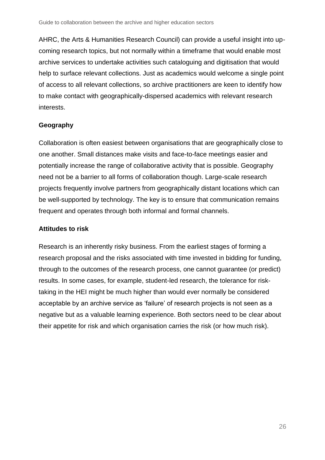AHRC, the Arts & Humanities Research Council) can provide a useful insight into upcoming research topics, but not normally within a timeframe that would enable most archive services to undertake activities such cataloguing and digitisation that would help to surface relevant collections. Just as academics would welcome a single point of access to all relevant collections, so archive practitioners are keen to identify how to make contact with geographically-dispersed academics with relevant research interests.

#### **Geography**

Collaboration is often easiest between organisations that are geographically close to one another. Small distances make visits and face-to-face meetings easier and potentially increase the range of collaborative activity that is possible. Geography need not be a barrier to all forms of collaboration though. Large-scale research projects frequently involve partners from geographically distant locations which can be well-supported by technology. The key is to ensure that communication remains frequent and operates through both informal and formal channels.

#### **Attitudes to risk**

<span id="page-25-0"></span>Research is an inherently risky business. From the earliest stages of forming a research proposal and the risks associated with time invested in bidding for funding, through to the outcomes of the research process, one cannot guarantee (or predict) results. In some cases, for example, student-led research, the tolerance for risktaking in the HEI might be much higher than would ever normally be considered acceptable by an archive service as 'failure' of research projects is not seen as a negative but as a valuable learning experience. Both sectors need to be clear about their appetite for risk and which organisation carries the risk (or how much risk).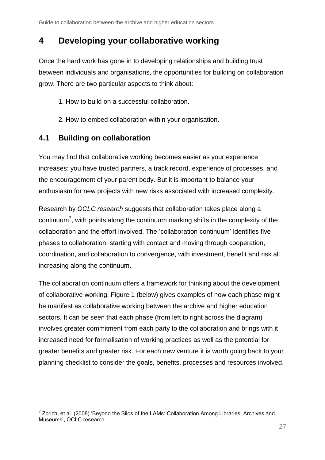# <span id="page-26-0"></span>**4 Developing your collaborative working**

Once the hard work has gone in to developing relationships and building trust between individuals and organisations, the opportunities for building on collaboration grow. There are two particular aspects to think about:

- 1. How to build on a successful collaboration.
- 2. How to embed collaboration within your organisation.

## <span id="page-26-1"></span>**4.1 Building on collaboration**

 $\overline{a}$ 

You may find that collaborative working becomes easier as your experience increases: you have trusted partners, a track record, experience of processes, and the encouragement of your parent body. But it is important to balance your enthusiasm for new projects with new risks associated with increased complexity.

Research by *OCLC research* suggests that collaboration takes place along a continuum<sup>7</sup>, with points along the continuum marking shifts in the complexity of the collaboration and the effort involved. The 'collaboration continuum' identifies five phases to collaboration, starting with contact and moving through cooperation, coordination, and collaboration to convergence, with investment, benefit and risk all increasing along the continuum.

The collaboration continuum offers a framework for thinking about the development of collaborative working. Figure 1 (below) gives examples of how each phase might be manifest as collaborative working between the archive and higher education sectors. It can be seen that each phase (from left to right across the diagram) involves greater commitment from each party to the collaboration and brings with it increased need for formalisation of working practices as well as the potential for greater benefits and greater risk. For each new venture it is worth going back to your planning checklist to consider the goals, benefits, processes and resources involved.

 $7$  Zorich, et al. (2008) 'Beyond the Silos of the LAMs: Collaboration Among Libraries, Archives and Museums', OCLC research.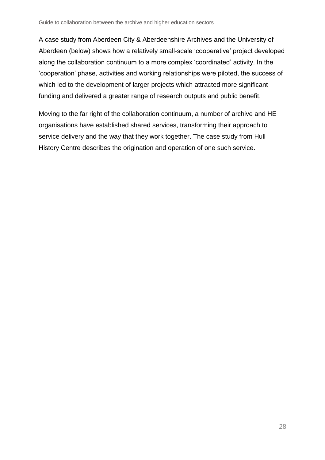A case study from Aberdeen City & Aberdeenshire Archives and the University of Aberdeen (below) shows how a relatively small-scale 'cooperative' project developed along the collaboration continuum to a more complex 'coordinated' activity. In the 'cooperation' phase, activities and working relationships were piloted, the success of which led to the development of larger projects which attracted more significant funding and delivered a greater range of research outputs and public benefit.

Moving to the far right of the collaboration continuum, a number of archive and HE organisations have established shared services, transforming their approach to service delivery and the way that they work together. The case study from Hull History Centre describes the origination and operation of one such service.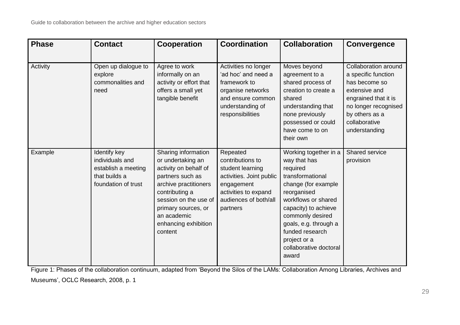| <b>Phase</b> | <b>Contact</b>                                                                                 | Cooperation                                                                                                                                                                                                                        | <b>Coordination</b>                                                                                                                                     | <b>Collaboration</b>                                                                                                                                                                                                                                                          | <b>Convergence</b>                                                                                                                                                                |
|--------------|------------------------------------------------------------------------------------------------|------------------------------------------------------------------------------------------------------------------------------------------------------------------------------------------------------------------------------------|---------------------------------------------------------------------------------------------------------------------------------------------------------|-------------------------------------------------------------------------------------------------------------------------------------------------------------------------------------------------------------------------------------------------------------------------------|-----------------------------------------------------------------------------------------------------------------------------------------------------------------------------------|
| Activity     | Open up dialogue to<br>explore<br>commonalities and<br>need                                    | Agree to work<br>informally on an<br>activity or effort that<br>offers a small yet<br>tangible benefit                                                                                                                             | Activities no longer<br>'ad hoc' and need a<br>framework to<br>organise networks<br>and ensure common<br>understanding of<br>responsibilities           | Moves beyond<br>agreement to a<br>shared process of<br>creation to create a<br>shared<br>understanding that<br>none previously<br>possessed or could<br>have come to on<br>their own                                                                                          | Collaboration around<br>a specific function<br>has become so<br>extensive and<br>engrained that it is<br>no longer recognised<br>by others as a<br>collaborative<br>understanding |
| Example      | Identify key<br>individuals and<br>establish a meeting<br>that builds a<br>foundation of trust | Sharing information<br>or undertaking an<br>activity on behalf of<br>partners such as<br>archive practitioners<br>contributing a<br>session on the use of<br>primary sources, or<br>an academic<br>enhancing exhibition<br>content | Repeated<br>contributions to<br>student learning<br>activities. Joint public<br>engagement<br>activities to expand<br>audiences of both/all<br>partners | Working together in a<br>way that has<br>required<br>transformational<br>change (for example<br>reorganised<br>workflows or shared<br>capacity) to achieve<br>commonly desired<br>goals, e.g. through a<br>funded research<br>project or a<br>collaborative doctoral<br>award | Shared service<br>provision                                                                                                                                                       |

Figure 1: Phases of the collaboration continuum, adapted from 'Beyond the Silos of the LAMs: Collaboration Among Libraries, Archives and

Museums', OCLC Research, 2008, p. 1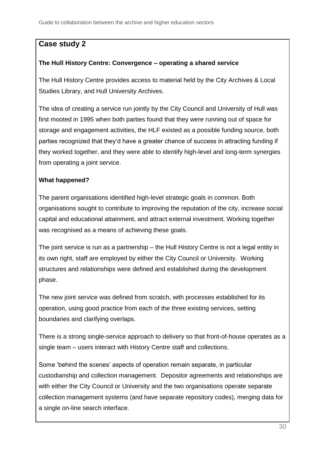# **Case study 2**

## **The Hull History Centre: Convergence – operating a shared service**

The Hull History Centre provides access to material held by the City Archives & Local Studies Library, and Hull University Archives.

The idea of creating a service run jointly by the City Council and University of Hull was first mooted in 1995 when both parties found that they were running out of space for storage and engagement activities, the HLF existed as a possible funding source, both parties recognized that they'd have a greater chance of success in attracting funding if they worked together, and they were able to identify high-level and long-term synergies from operating a joint service.

## **What happened?**

The parent organisations identified high-level strategic goals in common. Both organisations sought to contribute to improving the reputation of the city, increase social capital and educational attainment, and attract external investment. Working together was recognised as a means of achieving these goals.

The joint service is run as a partnership – the Hull History Centre is not a legal entity in its own right, staff are employed by either the City Council or University. Working structures and relationships were defined and established during the development phase.

The new joint service was defined from scratch, with processes established for its operation, using good practice from each of the three existing services, setting boundaries and clarifying overlaps.

There is a strong single-service approach to delivery so that front-of-house operates as a single team – users interact with History Centre staff and collections.

Some 'behind the scenes' aspects of operation remain separate, in particular custodianship and collection management. Depositor agreements and relationships are with either the City Council or University and the two organisations operate separate collection management systems (and have separate repository codes), merging data for a single on-line search interface.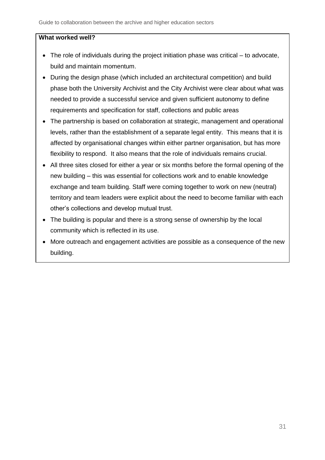#### **What worked well?**

- The role of individuals during the project initiation phase was critical to advocate, build and maintain momentum.
- During the design phase (which included an architectural competition) and build phase both the University Archivist and the City Archivist were clear about what was needed to provide a successful service and given sufficient autonomy to define requirements and specification for staff, collections and public areas
- The partnership is based on collaboration at strategic, management and operational levels, rather than the establishment of a separate legal entity. This means that it is affected by organisational changes within either partner organisation, but has more flexibility to respond. It also means that the role of individuals remains crucial.
- All three sites closed for either a year or six months before the formal opening of the new building – this was essential for collections work and to enable knowledge exchange and team building. Staff were coming together to work on new (neutral) territory and team leaders were explicit about the need to become familiar with each other's collections and develop mutual trust.
- The building is popular and there is a strong sense of ownership by the local community which is reflected in its use.
- More outreach and engagement activities are possible as a consequence of the new building.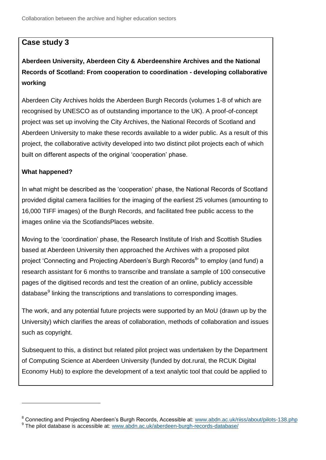## **Case study 3**

**Aberdeen University, Aberdeen City & Aberdeenshire Archives and the National Records of Scotland: From cooperation to coordination - developing collaborative working**

Aberdeen City Archives holds the Aberdeen Burgh Records (volumes 1-8 of which are recognised by UNESCO as of outstanding importance to the UK). A proof-of-concept project was set up involving the City Archives, the National Records of Scotland and Aberdeen University to make these records available to a wider public. As a result of this project, the collaborative activity developed into two distinct pilot projects each of which built on different aspects of the original 'cooperation' phase.

#### **What happened?**

1

In what might be described as the 'cooperation' phase, the National Records of Scotland provided digital camera facilities for the imaging of the earliest 25 volumes (amounting to 16,000 TIFF images) of the Burgh Records, and facilitated free public access to the images online via the ScotlandsPlaces website.

Moving to the 'coordination' phase, the Research Institute of Irish and Scottish Studies based at Aberdeen University then approached the Archives with a proposed pilot project 'Connecting and Projecting Aberdeen's Burgh Records<sup>8</sup>' to employ (and fund) a research assistant for 6 months to transcribe and translate a sample of 100 consecutive pages of the digitised records and test the creation of an online, publicly accessible database<sup>9</sup> linking the transcriptions and translations to corresponding images.

The work, and any potential future projects were supported by an MoU (drawn up by the University) which clarifies the areas of collaboration, methods of collaboration and issues such as copyright.

Subsequent to this, a distinct but related pilot project was undertaken by the Department of Computing Science at Aberdeen University (funded by dot.rural, the RCUK Digital Economy Hub) to explore the development of a text analytic tool that could be applied to

<sup>&</sup>lt;sup>8</sup> Connecting and Projecting Aberdeen's Burgh Records, Accessible at: [www.abdn.ac.uk/riiss/about/pilots-138.php](http://www.abdn.ac.uk/riiss/about/pilots-138.php)

<sup>9</sup> The pilot database is accessible at: [www.abdn.ac.uk/aberdeen-burgh-records-database/](http://www.abdn.ac.uk/aberdeen-burgh-records-database/)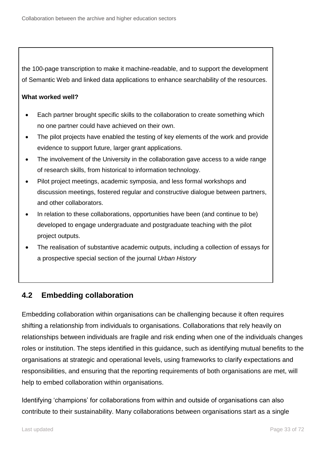<span id="page-32-0"></span>the 100-page transcription to make it machine-readable, and to support the development of Semantic Web and linked data applications to enhance searchability of the resources.

#### **What worked well?**

- Each partner brought specific skills to the collaboration to create something which no one partner could have achieved on their own.
- The pilot projects have enabled the testing of key elements of the work and provide evidence to support future, larger grant applications.
- The involvement of the University in the collaboration gave access to a wide range of research skills, from historical to information technology.
- Pilot project meetings, academic symposia, and less formal workshops and discussion meetings, fostered regular and constructive dialogue between partners, and other collaborators.
- In relation to these collaborations, opportunities have been (and continue to be) developed to engage undergraduate and postgraduate teaching with the pilot project outputs.
- The realisation of substantive academic outputs, including a collection of essays for a prospective special section of the journal *Urban History*

## **4.2 Embedding collaboration**

Embedding collaboration within organisations can be challenging because it often requires shifting a relationship from individuals to organisations. Collaborations that rely heavily on relationships between individuals are fragile and risk ending when one of the individuals changes roles or institution. The steps identified in this guidance, such as identifying mutual benefits to the organisations at strategic and operational levels, using frameworks to clarify expectations and responsibilities, and ensuring that the reporting requirements of both organisations are met, will help to embed collaboration within organisations.

Identifying 'champions' for collaborations from within and outside of organisations can also contribute to their sustainability. Many collaborations between organisations start as a single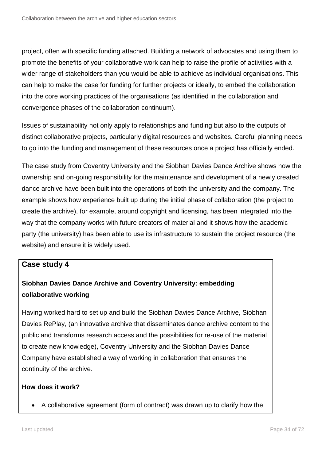project, often with specific funding attached. Building a network of advocates and using them to promote the benefits of your collaborative work can help to raise the profile of activities with a wider range of stakeholders than you would be able to achieve as individual organisations. This can help to make the case for funding for further projects or ideally, to embed the collaboration into the core working practices of the organisations (as identified in the collaboration and convergence phases of the collaboration continuum).

Issues of sustainability not only apply to relationships and funding but also to the outputs of distinct collaborative projects, particularly digital resources and websites. Careful planning needs to go into the funding and management of these resources once a project has officially ended.

The case study from Coventry University and the Siobhan Davies Dance Archive shows how the ownership and on-going responsibility for the maintenance and development of a newly created dance archive have been built into the operations of both the university and the company. The example shows how experience built up during the initial phase of collaboration (the project to create the archive), for example, around copyright and licensing, has been integrated into the way that the company works with future creators of material and it shows how the academic party (the university) has been able to use its infrastructure to sustain the project resource (the website) and ensure it is widely used.

## **Case study 4**

# **Siobhan Davies Dance Archive and Coventry University: embedding collaborative working**

Having worked hard to set up and build the Siobhan Davies Dance Archive, Siobhan Davies RePlay, (an innovative archive that disseminates dance archive content to the public and transforms research access and the possibilities for re-use of the material to create new knowledge), Coventry University and the Siobhan Davies Dance Company have established a way of working in collaboration that ensures the continuity of the archive.

#### **How does it work?**

A collaborative agreement (form of contract) was drawn up to clarify how the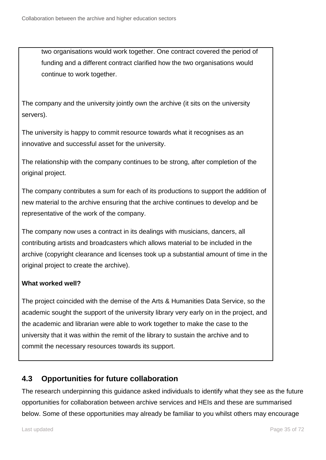two organisations would work together. One contract covered the period of funding and a different contract clarified how the two organisations would continue to work together.

The company and the university jointly own the archive (it sits on the university servers).

The university is happy to commit resource towards what it recognises as an innovative and successful asset for the university.

The relationship with the company continues to be strong, after completion of the original project.

The company contributes a sum for each of its productions to support the addition of new material to the archive ensuring that the archive continues to develop and be representative of the work of the company.

The company now uses a contract in its dealings with musicians, dancers, all contributing artists and broadcasters which allows material to be included in the archive (copyright clearance and licenses took up a substantial amount of time in the original project to create the archive).

## **What worked well?**

The project coincided with the demise of the Arts & Humanities Data Service, so the academic sought the support of the university library very early on in the project, and the academic and librarian were able to work together to make the case to the university that it was within the remit of the library to sustain the archive and to commit the necessary resources towards its support.

# <span id="page-34-0"></span>**4.3 Opportunities for future collaboration**

The research underpinning this guidance asked individuals to identify what they see as the future opportunities for collaboration between archive services and HEIs and these are summarised below. Some of these opportunities may already be familiar to you whilst others may encourage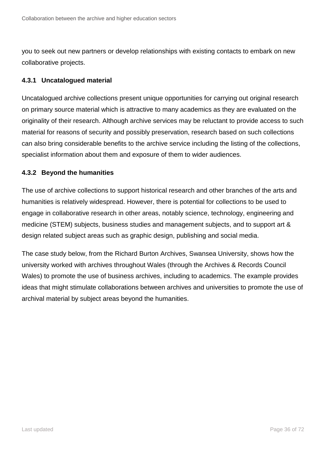you to seek out new partners or develop relationships with existing contacts to embark on new collaborative projects.

#### **4.3.1 Uncatalogued material**

Uncatalogued archive collections present unique opportunities for carrying out original research on primary source material which is attractive to many academics as they are evaluated on the originality of their research. Although archive services may be reluctant to provide access to such material for reasons of security and possibly preservation, research based on such collections can also bring considerable benefits to the archive service including the listing of the collections, specialist information about them and exposure of them to wider audiences.

#### **4.3.2 Beyond the humanities**

The use of archive collections to support historical research and other branches of the arts and humanities is relatively widespread. However, there is potential for collections to be used to engage in collaborative research in other areas, notably science, technology, engineering and medicine (STEM) subjects, business studies and management subjects, and to support art & design related subject areas such as graphic design, publishing and social media.

The case study below, from the Richard Burton Archives, Swansea University, shows how the university worked with archives throughout Wales (through the Archives & Records Council Wales) to promote the use of business archives, including to academics. The example provides ideas that might stimulate collaborations between archives and universities to promote the use of archival material by subject areas beyond the humanities.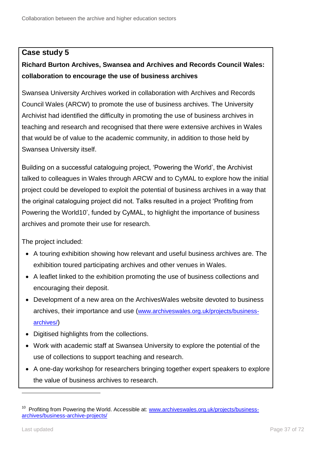## **Case study 5**

# **Richard Burton Archives, Swansea and Archives and Records Council Wales: collaboration to encourage the use of business archives**

Swansea University Archives worked in collaboration with Archives and Records Council Wales (ARCW) to promote the use of business archives. The University Archivist had identified the difficulty in promoting the use of business archives in teaching and research and recognised that there were extensive archives in Wales that would be of value to the academic community, in addition to those held by Swansea University itself.

Building on a successful cataloguing project, 'Powering the World', the Archivist talked to colleagues in Wales through ARCW and to CyMAL to explore how the initial project could be developed to exploit the potential of business archives in a way that the original cataloguing project did not. Talks resulted in a project 'Profiting from Powering the World10', funded by CyMAL, to highlight the importance of business archives and promote their use for research.

The project included:

- A touring exhibition showing how relevant and useful business archives are. The exhibition toured participating archives and other venues in Wales.
- A leaflet linked to the exhibition promoting the use of business collections and encouraging their deposit.
- Development of a new area on the ArchivesWales website devoted to business archives, their importance and use ([www.archiveswales.org.uk/projects/business](http://www.archiveswales.org.uk/projects/business-archives/)[archives/](http://www.archiveswales.org.uk/projects/business-archives/))
- Digitised highlights from the collections.
- Work with academic staff at Swansea University to explore the potential of the use of collections to support teaching and research.
- A one-day workshop for researchers bringing together expert speakers to explore the value of business archives to research.

<sup>&</sup>lt;sup>10</sup> Profiting from Powering the World. Accessible at: [www.archiveswales.org.uk/projects/business](http://www.archiveswales.org.uk/projects/business-archives/business-archive-projects/)[archives/business-archive-projects/](http://www.archiveswales.org.uk/projects/business-archives/business-archive-projects/)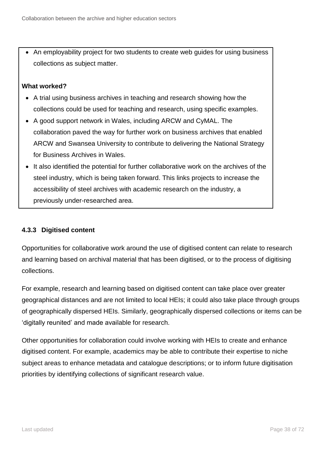An employability project for two students to create web guides for using business collections as subject matter.

## **What worked?**

- A trial using business archives in teaching and research showing how the collections could be used for teaching and research, using specific examples.
- A good support network in Wales, including ARCW and CyMAL. The collaboration paved the way for further work on business archives that enabled ARCW and Swansea University to contribute to delivering the National Strategy for Business Archives in Wales.
- It also identified the potential for further collaborative work on the archives of the steel industry, which is being taken forward. This links projects to increase the accessibility of steel archives with academic research on the industry, a previously under-researched area.

## **4.3.3 Digitised content**

Opportunities for collaborative work around the use of digitised content can relate to research and learning based on archival material that has been digitised, or to the process of digitising collections.

For example, research and learning based on digitised content can take place over greater geographical distances and are not limited to local HEIs; it could also take place through groups of geographically dispersed HEIs. Similarly, geographically dispersed collections or items can be 'digitally reunited' and made available for research.

Other opportunities for collaboration could involve working with HEIs to create and enhance digitised content. For example, academics may be able to contribute their expertise to niche subject areas to enhance metadata and catalogue descriptions; or to inform future digitisation priorities by identifying collections of significant research value.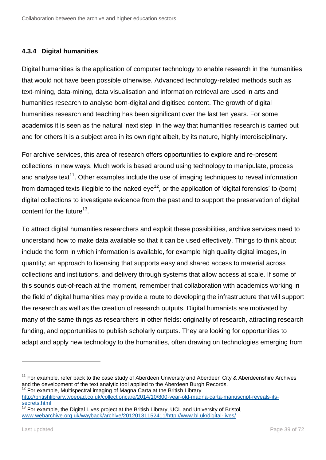## **4.3.4 Digital humanities**

Digital humanities is the application of computer technology to enable research in the humanities that would not have been possible otherwise. Advanced technology-related methods such as text-mining, data-mining, data visualisation and information retrieval are used in arts and humanities research to analyse born-digital and digitised content. The growth of digital humanities research and teaching has been significant over the last ten years. For some academics it is seen as the natural 'next step' in the way that humanities research is carried out and for others it is a subject area in its own right albeit, by its nature, highly interdisciplinary.

For archive services, this area of research offers opportunities to explore and re-present collections in new ways. Much work is based around using technology to manipulate, process and analyse text<sup>11</sup>. Other examples include the use of imaging techniques to reveal information from damaged texts illegible to the naked eye<sup>12</sup>, or the application of 'digital forensics' to (born) digital collections to investigate evidence from the past and to support the preservation of digital content for the future $^{13}$ .

To attract digital humanities researchers and exploit these possibilities, archive services need to understand how to make data available so that it can be used effectively. Things to think about include the form in which information is available, for example high quality digital images, in quantity; an approach to licensing that supports easy and shared access to material across collections and institutions, and delivery through systems that allow access at scale. If some of this sounds out-of-reach at the moment, remember that collaboration with academics working in the field of digital humanities may provide a route to developing the infrastructure that will support the research as well as the creation of research outputs. Digital humanists are motivated by many of the same things as researchers in other fields: originality of research, attracting research funding, and opportunities to publish scholarly outputs. They are looking for opportunities to adapt and apply new technology to the humanities, often drawing on technologies emerging from

 $11$  For example, refer back to the case study of Aberdeen University and Aberdeen City & Aberdeenshire Archives and the development of the text analytic tool applied to the Aberdeen Burgh Records.  $12$  For example, Multispectral imaging of Magna Carta at the British Library

[http://britishlibrary.typepad.co.uk/collectioncare/2014/10/800-year-old-magna-carta-manuscript-reveals-its](http://britishlibrary.typepad.co.uk/collectioncare/2014/10/800-year-old-magna-carta-manuscript-reveals-its-secrets.html)[secrets.html](http://britishlibrary.typepad.co.uk/collectioncare/2014/10/800-year-old-magna-carta-manuscript-reveals-its-secrets.html)

 $13$  For example, the Digital Lives project at the British Library, UCL and University of Bristol, [www.webarchive.org.uk/wayback/archive/20120131152411/http://www.bl.uk/digital-lives/](http://www.webarchive.org.uk/wayback/archive/20120131152411/http:/www.bl.uk/digital-lives/)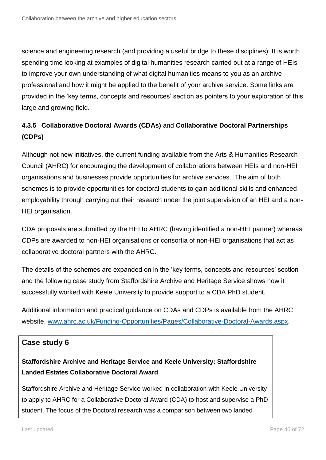science and engineering research (and providing a useful bridge to these disciplines). It is worth spending time looking at examples of digital humanities research carried out at a range of HEIs to improve your own understanding of what digital humanities means to you as an archive professional and how it might be applied to the benefit of your archive service. Some links are provided in the 'key terms, concepts and resources' section as pointers to your exploration of this large and growing field.

# **4.3.5 Collaborative Doctoral Awards (CDAs)** and **Collaborative Doctoral Partnerships (CDPs)**

Although not new initiatives, the current funding available from the Arts & Humanities Research Council (AHRC) for encouraging the development of collaborations between HEIs and non-HEI organisations and businesses provide opportunities for archive services. The aim of both schemes is to provide opportunities for doctoral students to gain additional skills and enhanced employability through carrying out their research under the joint supervision of an HEI and a non-HEI organisation.

CDA proposals are submitted by the HEI to AHRC (having identified a non-HEI partner) whereas CDPs are awarded to non-HEI organisations or consortia of non-HEI organisations that act as collaborative doctoral partners with the AHRC.

The details of the schemes are expanded on in the 'key terms, concepts and resources' section and the following case study from Staffordshire Archive and Heritage Service shows how it successfully worked with Keele University to provide support to a CDA PhD student.

Additional information and practical guidance on CDAs and CDPs is available from the AHRC website, [www.ahrc.ac.uk/Funding-Opportunities/Pages/Collaborative-Doctoral-Awards.aspx.](http://www.ahrc.ac.uk/Funding-Opportunities/Pages/Collaborative-Doctoral-Awards.aspx)

## **Case study 6**

## **Staffordshire Archive and Heritage Service and Keele University: Staffordshire Landed Estates Collaborative Doctoral Award**

Staffordshire Archive and Heritage Service worked in collaboration with Keele University to apply to AHRC for a Collaborative Doctoral Award (CDA) to host and supervise a PhD student. The focus of the Doctoral research was a comparison between two landed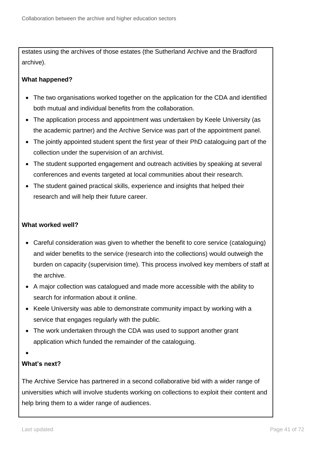estates using the archives of those estates (the Sutherland Archive and the Bradford archive).

## **What happened?**

- The two organisations worked together on the application for the CDA and identified both mutual and individual benefits from the collaboration.
- The application process and appointment was undertaken by Keele University (as the academic partner) and the Archive Service was part of the appointment panel.
- The jointly appointed student spent the first year of their PhD cataloguing part of the collection under the supervision of an archivist.
- The student supported engagement and outreach activities by speaking at several conferences and events targeted at local communities about their research.
- The student gained practical skills, experience and insights that helped their research and will help their future career.

## **What worked well?**

- Careful consideration was given to whether the benefit to core service (cataloguing) and wider benefits to the service (research into the collections) would outweigh the burden on capacity (supervision time). This process involved key members of staff at the archive.
- A major collection was catalogued and made more accessible with the ability to search for information about it online.
- Keele University was able to demonstrate community impact by working with a service that engages regularly with the public.
- The work undertaken through the CDA was used to support another grant application which funded the remainder of the cataloguing.
- $\bullet$

## **What's next?**

The Archive Service has partnered in a second collaborative bid with a wider range of universities which will involve students working on collections to exploit their content and help bring them to a wider range of audiences.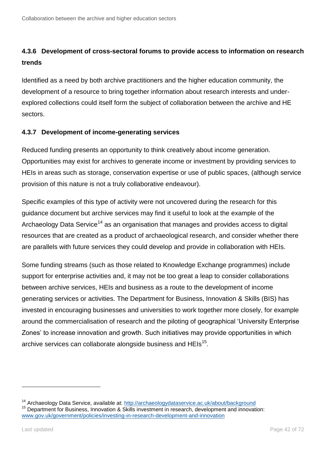# **4.3.6 Development of cross-sectoral forums to provide access to information on research trends**

Identified as a need by both archive practitioners and the higher education community, the development of a resource to bring together information about research interests and underexplored collections could itself form the subject of collaboration between the archive and HE sectors.

## **4.3.7 Development of income-generating services**

Reduced funding presents an opportunity to think creatively about income generation. Opportunities may exist for archives to generate income or investment by providing services to HEIs in areas such as storage, conservation expertise or use of public spaces, (although service provision of this nature is not a truly collaborative endeavour).

Specific examples of this type of activity were not uncovered during the research for this guidance document but archive services may find it useful to look at the example of the Archaeology Data Service<sup>14</sup> as an organisation that manages and provides access to digital resources that are created as a product of archaeological research, and consider whether there are parallels with future services they could develop and provide in collaboration with HEIs.

Some funding streams (such as those related to Knowledge Exchange programmes) include support for enterprise activities and, it may not be too great a leap to consider collaborations between archive services, HEIs and business as a route to the development of income generating services or activities. The Department for Business, Innovation & Skills (BIS) has invested in encouraging businesses and universities to work together more closely, for example around the commercialisation of research and the piloting of geographical 'University Enterprise Zones' to increase innovation and growth. Such initiatives may provide opportunities in which archive services can collaborate alongside business and HEIs<sup>15</sup>.

<sup>&</sup>lt;sup>14</sup> Archaeology Data Service, available at:<http://archaeologydataservice.ac.uk/about/background> <sup>15</sup> Department for Business, Innovation & Skills investment in research, development and innovation: [www.gov.uk/government/policies/investing-in-research-development-and-innovation](https://www.gov.uk/government/policies/investing-in-research-development-and-innovation)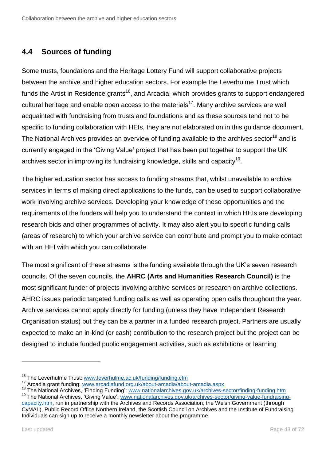# **4.4 Sources of funding**

Some trusts, foundations and the Heritage Lottery Fund will support collaborative projects between the archive and higher education sectors. For example the Leverhulme Trust which funds the Artist in Residence grants<sup>16</sup>, and Arcadia, which provides grants to support endangered cultural heritage and enable open access to the materials<sup>17</sup>. Many archive services are well acquainted with fundraising from trusts and foundations and as these sources tend not to be specific to funding collaboration with HEIs, they are not elaborated on in this guidance document. The National Archives provides an overview of funding available to the archives sector<sup>18</sup> and is currently engaged in the 'Giving Value' project that has been put together to support the UK archives sector in improving its fundraising knowledge, skills and capacity $^{19}$ .

The higher education sector has access to funding streams that, whilst unavailable to archive services in terms of making direct applications to the funds, can be used to support collaborative work involving archive services. Developing your knowledge of these opportunities and the requirements of the funders will help you to understand the context in which HEIs are developing research bids and other programmes of activity. It may also alert you to specific funding calls (areas of research) to which your archive service can contribute and prompt you to make contact with an HEI with which you can collaborate.

The most significant of these streams is the funding available through the UK's seven research councils. Of the seven councils, the **AHRC (Arts and Humanities Research Council)** is the most significant funder of projects involving archive services or research on archive collections. AHRC issues periodic targeted funding calls as well as operating open calls throughout the year. Archive services cannot apply directly for funding (unless they have Independent Research Organisation status) but they can be a partner in a funded research project. Partners are usually expected to make an in-kind (or cash) contribution to the research project but the project can be designed to include funded public engagement activities, such as exhibitions or learning

<sup>&</sup>lt;sup>16</sup> The Leverhulme Trust: [www.leverhulme.ac.uk/funding/funding.cfm](http://www.leverhulme.ac.uk/funding/funding.cfm)

<sup>&</sup>lt;sup>17</sup> Arcadia grant funding: [www.arcadiafund.org.uk/about-arcadia/about-arcadia.aspx](http://www.arcadiafund.org.uk/about-arcadia/about-arcadia.aspx)

<sup>&</sup>lt;sup>18</sup> The National Archives, 'Finding Funding': [www.nationalarchives.gov.uk/archives-sector/finding-funding.htm](http://www.nationalarchives.gov.uk/archives-sector/finding-funding.htm)

<sup>&</sup>lt;sup>19</sup> The National Archives, 'Giving Value': [www.nationalarchives.gov.uk/archives-sector/giving-value-fundraising](http://www.nationalarchives.gov.uk/archives-sector/giving-value-fundraising-capacity.htm)[capacity.htm,](http://www.nationalarchives.gov.uk/archives-sector/giving-value-fundraising-capacity.htm) run in partnership with the Archives and Records Association, the Welsh Government (through CyMAL), Public Record Office Northern Ireland, the Scottish Council on Archives and the Institute of Fundraising. Individuals can sign up to receive a monthly newsletter about the programme.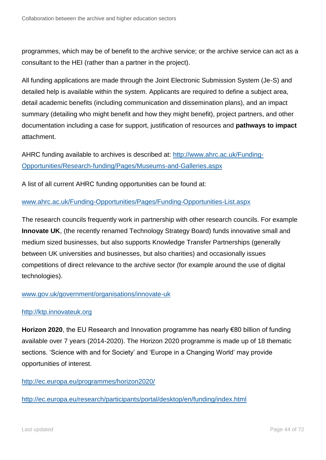programmes, which may be of benefit to the archive service; or the archive service can act as a consultant to the HEI (rather than a partner in the project).

All funding applications are made through the Joint Electronic Submission System (Je-S) and detailed help is available within the system. Applicants are required to define a subject area, detail academic benefits (including communication and dissemination plans), and an impact summary (detailing who might benefit and how they might benefit), project partners, and other documentation including a case for support, justification of resources and **pathways to impact** attachment.

AHRC funding available to archives is described at: [http://www.ahrc.ac.uk/Funding-](http://www.ahrc.ac.uk/Funding-Opportunities/Research-funding/Pages/Museums-and-Galleries.aspx)[Opportunities/Research-funding/Pages/Museums-and-Galleries.aspx](http://www.ahrc.ac.uk/Funding-Opportunities/Research-funding/Pages/Museums-and-Galleries.aspx)

A list of all current AHRC funding opportunities can be found at:

## [www.ahrc.ac.uk/Funding-Opportunities/Pages/Funding-Opportunities-List.aspx](http://www.ahrc.ac.uk/Funding-Opportunities/Pages/Funding-Opportunities-List.aspx)

The research councils frequently work in partnership with other research councils. For example **Innovate UK**, (the recently renamed Technology Strategy Board) funds innovative small and medium sized businesses, but also supports Knowledge Transfer Partnerships (generally between UK universities and businesses, but also charities) and occasionally issues competitions of direct relevance to the archive sector (for example around the use of digital technologies).

## [www.gov.uk/government/organisations/innovate-uk](http://www.gov.uk/government/organisations/innovate-uk)

## [http://ktp.innovateuk.org](http://ktp.innovateuk.org/)

**Horizon 2020**, the EU Research and Innovation programme has nearly €80 billion of funding available over 7 years (2014-2020). The Horizon 2020 programme is made up of 18 thematic sections. 'Science with and for Society' and 'Europe in a Changing World' may provide opportunities of interest.

## <http://ec.europa.eu/programmes/horizon2020/>

<http://ec.europa.eu/research/participants/portal/desktop/en/funding/index.html>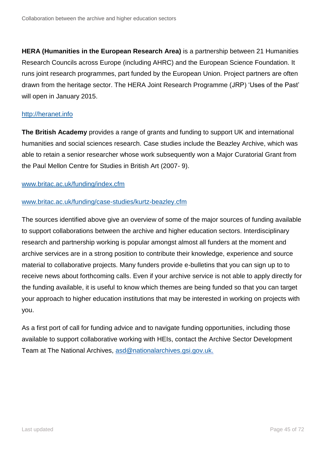**HERA (Humanities in the European Research Area)** is a partnership between 21 Humanities Research Councils across Europe (including AHRC) and the European Science Foundation. It runs joint research programmes, part funded by the European Union. Project partners are often drawn from the heritage sector. The HERA Joint Research Programme (JRP) 'Uses of the Past' will open in January 2015.

## [http://heranet.info](http://heranet.info/)

**The British Academy** provides a range of grants and funding to support UK and international humanities and social sciences research. Case studies include the Beazley Archive, which was able to retain a senior researcher whose work subsequently won a Major Curatorial Grant from the Paul Mellon Centre for Studies in British Art (2007- 9).

### [www.britac.ac.uk/funding/index.cfm](http://www.britac.ac.uk/funding/index.cfm)

### [www.britac.ac.uk/funding/case-studies/kurtz-beazley.cfm](http://www.britac.ac.uk/funding/case-studies/kurtz-beazley.cfm)

The sources identified above give an overview of some of the major sources of funding available to support collaborations between the archive and higher education sectors. Interdisciplinary research and partnership working is popular amongst almost all funders at the moment and archive services are in a strong position to contribute their knowledge, experience and source material to collaborative projects. Many funders provide e-bulletins that you can sign up to to receive news about forthcoming calls. Even if your archive service is not able to apply directly for the funding available, it is useful to know which themes are being funded so that you can target your approach to higher education institutions that may be interested in working on projects with you.

As a first port of call for funding advice and to navigate funding opportunities, including those available to support collaborative working with HEIs, contact the Archive Sector Development Team at The National Archives, [asd@nationalarchives.gsi.gov.uk.](mailto:asd@nationalarchives.gsi.gov.uk)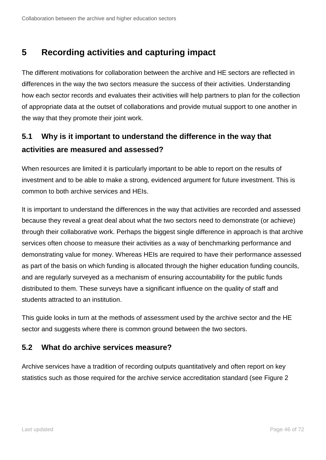# **5 Recording activities and capturing impact**

The different motivations for collaboration between the archive and HE sectors are reflected in differences in the way the two sectors measure the success of their activities. Understanding how each sector records and evaluates their activities will help partners to plan for the collection of appropriate data at the outset of collaborations and provide mutual support to one another in the way that they promote their joint work.

# **5.1 Why is it important to understand the difference in the way that activities are measured and assessed?**

When resources are limited it is particularly important to be able to report on the results of investment and to be able to make a strong, evidenced argument for future investment. This is common to both archive services and HEIs.

It is important to understand the differences in the way that activities are recorded and assessed because they reveal a great deal about what the two sectors need to demonstrate (or achieve) through their collaborative work. Perhaps the biggest single difference in approach is that archive services often choose to measure their activities as a way of benchmarking performance and demonstrating value for money. Whereas HEIs are required to have their performance assessed as part of the basis on which funding is allocated through the higher education funding councils, and are regularly surveyed as a mechanism of ensuring accountability for the public funds distributed to them. These surveys have a significant influence on the quality of staff and students attracted to an institution.

This guide looks in turn at the methods of assessment used by the archive sector and the HE sector and suggests where there is common ground between the two sectors.

## **5.2 What do archive services measure?**

Archive services have a tradition of recording outputs quantitatively and often report on key statistics such as those required for the archive service accreditation standard (see Figure 2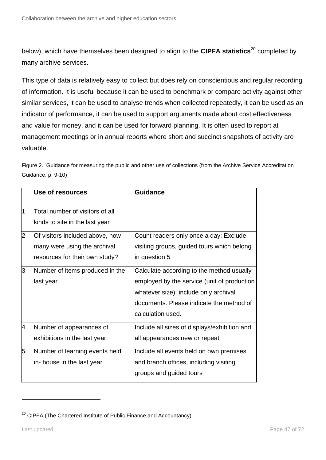below), which have themselves been designed to align to the **CIPFA statistics**<sup>20</sup> completed by many archive services.

This type of data is relatively easy to collect but does rely on conscientious and regular recording of information. It is useful because it can be used to benchmark or compare activity against other similar services, it can be used to analyse trends when collected repeatedly, it can be used as an indicator of performance, it can be used to support arguments made about cost effectiveness and value for money, and it can be used for forward planning. It is often used to report at management meetings or in annual reports where short and succinct snapshots of activity are valuable.

Figure 2. Guidance for measuring the public and other use of collections (from the Archive Service Accreditation Guidance, p. 9-10)

|   | Use of resources                | Guidance                                     |
|---|---------------------------------|----------------------------------------------|
| 1 | Total number of visitors of all |                                              |
|   | kinds to site in the last year  |                                              |
| 2 | Of visitors included above, how | Count readers only once a day; Exclude       |
|   | many were using the archival    | visiting groups, guided tours which belong   |
|   | resources for their own study?  | in question 5                                |
| З | Number of items produced in the | Calculate according to the method usually    |
|   | last year                       | employed by the service (unit of production  |
|   |                                 | whatever size); include only archival        |
|   |                                 | documents. Please indicate the method of     |
|   |                                 | calculation used.                            |
| 4 | Number of appearances of        | Include all sizes of displays/exhibition and |
|   | exhibitions in the last year    | all appearances new or repeat                |
| 5 | Number of learning events held  | Include all events held on own premises      |
|   | in- house in the last year      | and branch offices, including visiting       |
|   |                                 | groups and guided tours                      |

 $20$  CIPFA (The Chartered Institute of Public Finance and Accountancy)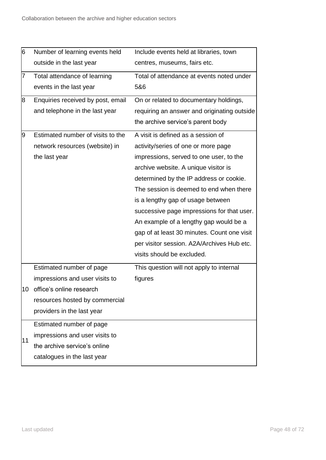| 6   | Number of learning events held    | Include events held at libraries, town      |
|-----|-----------------------------------|---------------------------------------------|
|     | outside in the last year          | centres, museums, fairs etc.                |
| 7   | Total attendance of learning      | Total of attendance at events noted under   |
|     | events in the last year           | 5&6                                         |
| 8   | Enquiries received by post, email | On or related to documentary holdings,      |
|     | and telephone in the last year    | requiring an answer and originating outside |
|     |                                   | the archive service's parent body           |
| 9   | Estimated number of visits to the | A visit is defined as a session of          |
|     | network resources (website) in    | activity/series of one or more page         |
|     | the last year                     | impressions, served to one user, to the     |
|     |                                   | archive website. A unique visitor is        |
|     |                                   | determined by the IP address or cookie.     |
|     |                                   | The session is deemed to end when there     |
|     |                                   | is a lengthy gap of usage between           |
|     |                                   | successive page impressions for that user.  |
|     |                                   | An example of a lengthy gap would be a      |
|     |                                   | gap of at least 30 minutes. Count one visit |
|     |                                   | per visitor session. A2A/Archives Hub etc.  |
|     |                                   | visits should be excluded.                  |
|     | Estimated number of page          | This question will not apply to internal    |
|     | impressions and user visits to    | figures                                     |
| 10. | office's online research          |                                             |
|     | resources hosted by commercial    |                                             |
|     | providers in the last year        |                                             |
| 11  | Estimated number of page          |                                             |
|     | impressions and user visits to    |                                             |
|     | the archive service's online      |                                             |
|     | catalogues in the last year       |                                             |
|     |                                   |                                             |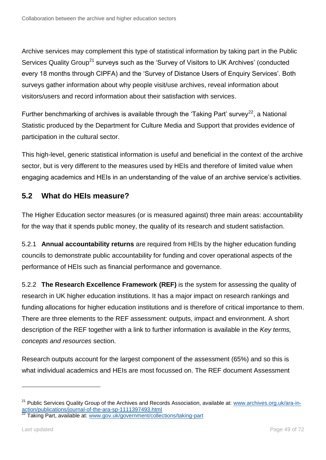Archive services may complement this type of statistical information by taking part in the Public Services Quality Group<sup>21</sup> surveys such as the 'Survey of Visitors to UK Archives' (conducted every 18 months through CIPFA) and the 'Survey of Distance Users of Enquiry Services'. Both surveys gather information about why people visit/use archives, reveal information about visitors/users and record information about their satisfaction with services.

Further benchmarking of archives is available through the 'Taking Part' survey<sup>22</sup>, a National Statistic produced by the Department for Culture Media and Support that provides evidence of participation in the cultural sector.

This high-level, generic statistical information is useful and beneficial in the context of the archive sector, but is very different to the measures used by HEIs and therefore of limited value when engaging academics and HEIs in an understanding of the value of an archive service's activities.

# **5.2 What do HEIs measure?**

The Higher Education sector measures (or is measured against) three main areas: accountability for the way that it spends public money, the quality of its research and student satisfaction.

5.2.1 **Annual accountability returns** are required from HEIs by the higher education funding councils to demonstrate public accountability for funding and cover operational aspects of the performance of HEIs such as financial performance and governance.

5.2.2 **The Research Excellence Framework (REF)** is the system for assessing the quality of research in UK higher education institutions. It has a major impact on research rankings and funding allocations for higher education institutions and is therefore of critical importance to them. There are three elements to the REF assessment: outputs, impact and environment. A short description of the REF together with a link to further information is available in the *Key terms, concepts and resources* section.

Research outputs account for the largest component of the assessment (65%) and so this is what individual academics and HEIs are most focussed on. The REF document Assessment

<sup>&</sup>lt;sup>21</sup> Public Services Quality Group of the Archives and Records Association, available at: [www.archives.org.uk/ara-in](http://www.archives.org.uk/ara-in-action/publications/journal-of-the-ara-sp-1111397493.html)[action/publications/journal-of-the-ara-sp-1111397493.html](http://www.archives.org.uk/ara-in-action/publications/journal-of-the-ara-sp-1111397493.html)

<sup>&</sup>lt;sup>22</sup> Taking Part, available at: [www.gov.uk/government/collections/taking-part](http://www.gov.uk/government/collections/taking-part)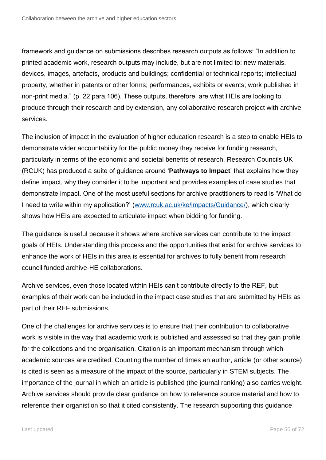framework and guidance on submissions describes research outputs as follows: "In addition to printed academic work, research outputs may include, but are not limited to: new materials, devices, images, artefacts, products and buildings; confidential or technical reports; intellectual property, whether in patents or other forms; performances, exhibits or events; work published in non-print media." (p. 22 para.106). These outputs, therefore, are what HEIs are looking to produce through their research and by extension, any collaborative research project with archive services.

The inclusion of impact in the evaluation of higher education research is a step to enable HEIs to demonstrate wider accountability for the public money they receive for funding research, particularly in terms of the economic and societal benefits of research. Research Councils UK (RCUK) has produced a suite of guidance around '**Pathways to Impact**' that explains how they define impact, why they consider it to be important and provides examples of case studies that demonstrate impact. One of the most useful sections for archive practitioners to read is 'What do I need to write within my application?' [\(www.rcuk.ac.uk/ke/impacts/Guidance/\)](http://www.rcuk.ac.uk/ke/impacts/Guidance/), which clearly shows how HEIs are expected to articulate impact when bidding for funding.

The guidance is useful because it shows where archive services can contribute to the impact goals of HEIs. Understanding this process and the opportunities that exist for archive services to enhance the work of HEIs in this area is essential for archives to fully benefit from research council funded archive-HE collaborations.

Archive services, even those located within HEIs can't contribute directly to the REF, but examples of their work can be included in the impact case studies that are submitted by HEIs as part of their REF submissions.

One of the challenges for archive services is to ensure that their contribution to collaborative work is visible in the way that academic work is published and assessed so that they gain profile for the collections and the organisation. Citation is an important mechanism through which academic sources are credited. Counting the number of times an author, article (or other source) is cited is seen as a measure of the impact of the source, particularly in STEM subjects. The importance of the journal in which an article is published (the journal ranking) also carries weight. Archive services should provide clear guidance on how to reference source material and how to reference their organistion so that it cited consistently. The research supporting this guidance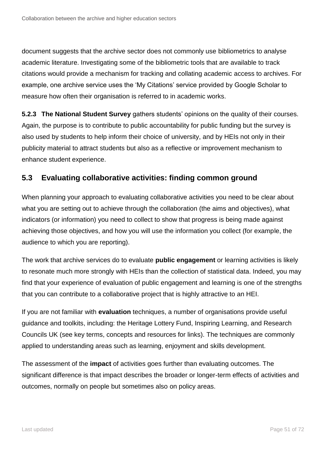document suggests that the archive sector does not commonly use bibliometrics to analyse academic literature. Investigating some of the bibliometric tools that are available to track citations would provide a mechanism for tracking and collating academic access to archives. For example, one archive service uses the 'My Citations' service provided by Google Scholar to measure how often their organisation is referred to in academic works.

**5.2.3 The National Student Survey** gathers students' opinions on the quality of their courses. Again, the purpose is to contribute to public accountability for public funding but the survey is also used by students to help inform their choice of university, and by HEIs not only in their publicity material to attract students but also as a reflective or improvement mechanism to enhance student experience.

## **5.3 Evaluating collaborative activities: finding common ground**

When planning your approach to evaluating collaborative activities you need to be clear about what you are setting out to achieve through the collaboration (the aims and objectives), what indicators (or information) you need to collect to show that progress is being made against achieving those objectives, and how you will use the information you collect (for example, the audience to which you are reporting).

The work that archive services do to evaluate **public engagement** or learning activities is likely to resonate much more strongly with HEIs than the collection of statistical data. Indeed, you may find that your experience of evaluation of public engagement and learning is one of the strengths that you can contribute to a collaborative project that is highly attractive to an HEI.

If you are not familiar with **evaluation** techniques, a number of organisations provide useful guidance and toolkits, including: the Heritage Lottery Fund, Inspiring Learning, and Research Councils UK (see key terms, concepts and resources for links). The techniques are commonly applied to understanding areas such as learning, enjoyment and skills development.

The assessment of the **impact** of activities goes further than evaluating outcomes. The significant difference is that impact describes the broader or longer-term effects of activities and outcomes, normally on people but sometimes also on policy areas.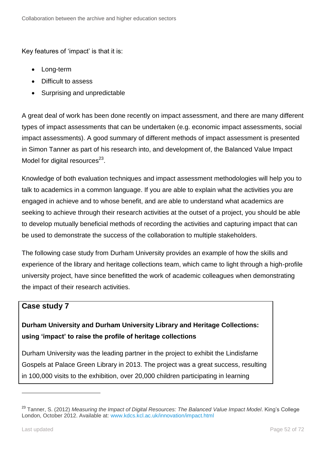Key features of 'impact' is that it is:

- Long-term
- Difficult to assess
- Surprising and unpredictable

A great deal of work has been done recently on impact assessment, and there are many different types of impact assessments that can be undertaken (e.g. economic impact assessments, social impact assessments). A good summary of different methods of impact assessment is presented in Simon Tanner as part of his research into, and development of, the Balanced Value Impact Model for digital resources $^{23}$ .

Knowledge of both evaluation techniques and impact assessment methodologies will help you to talk to academics in a common language. If you are able to explain what the activities you are engaged in achieve and to whose benefit, and are able to understand what academics are seeking to achieve through their research activities at the outset of a project, you should be able to develop mutually beneficial methods of recording the activities and capturing impact that can be used to demonstrate the success of the collaboration to multiple stakeholders.

The following case study from Durham University provides an example of how the skills and experience of the library and heritage collections team, which came to light through a high-profile university project, have since benefitted the work of academic colleagues when demonstrating the impact of their research activities.

## **Case study 7**

# **Durham University and Durham University Library and Heritage Collections: using 'impact' to raise the profile of heritage collections**

Durham University was the leading partner in the project to exhibit the Lindisfarne Gospels at Palace Green Library in 2013. The project was a great success, resulting in 100,000 visits to the exhibition, over 20,000 children participating in learning

<sup>23</sup> Tanner, S. (2012) *Measuring the Impact of Digital Resources: The Balanced Value Impact Model*. King's College London, October 2012. Available at: [www.kdcs.kcl.ac.uk/innovation/impact.html](http://www.kdcs.kcl.ac.uk/innovation/impact.html)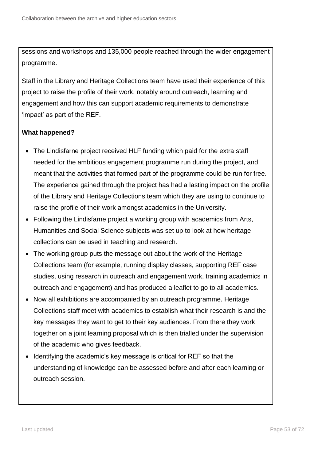sessions and workshops and 135,000 people reached through the wider engagement programme.

Staff in the Library and Heritage Collections team have used their experience of this project to raise the profile of their work, notably around outreach, learning and engagement and how this can support academic requirements to demonstrate 'impact' as part of the REF.

## **What happened?**

- The Lindisfarne project received HLF funding which paid for the extra staff needed for the ambitious engagement programme run during the project, and meant that the activities that formed part of the programme could be run for free. The experience gained through the project has had a lasting impact on the profile of the Library and Heritage Collections team which they are using to continue to raise the profile of their work amongst academics in the University.
- Following the Lindisfarne project a working group with academics from Arts, Humanities and Social Science subjects was set up to look at how heritage collections can be used in teaching and research.
- The working group puts the message out about the work of the Heritage Collections team (for example, running display classes, supporting REF case studies, using research in outreach and engagement work, training academics in outreach and engagement) and has produced a leaflet to go to all academics.
- Now all exhibitions are accompanied by an outreach programme. Heritage Collections staff meet with academics to establish what their research is and the key messages they want to get to their key audiences. From there they work together on a joint learning proposal which is then trialled under the supervision of the academic who gives feedback.
- Identifying the academic's key message is critical for REF so that the understanding of knowledge can be assessed before and after each learning or outreach session.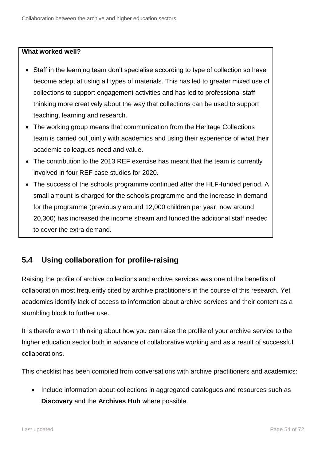## **What worked well?**

- Staff in the learning team don't specialise according to type of collection so have become adept at using all types of materials. This has led to greater mixed use of collections to support engagement activities and has led to professional staff thinking more creatively about the way that collections can be used to support teaching, learning and research.
- The working group means that communication from the Heritage Collections team is carried out jointly with academics and using their experience of what their academic colleagues need and value.
- The contribution to the 2013 REF exercise has meant that the team is currently involved in four REF case studies for 2020.
- The success of the schools programme continued after the HLF-funded period. A small amount is charged for the schools programme and the increase in demand for the programme (previously around 12,000 children per year, now around 20,300) has increased the income stream and funded the additional staff needed to cover the extra demand.

# **5.4 Using collaboration for profile-raising**

Raising the profile of archive collections and archive services was one of the benefits of collaboration most frequently cited by archive practitioners in the course of this research. Yet academics identify lack of access to information about archive services and their content as a stumbling block to further use.

It is therefore worth thinking about how you can raise the profile of your archive service to the higher education sector both in advance of collaborative working and as a result of successful collaborations.

This checklist has been compiled from conversations with archive practitioners and academics:

• Include information about collections in aggregated catalogues and resources such as **Discovery** and the **Archives Hub** where possible.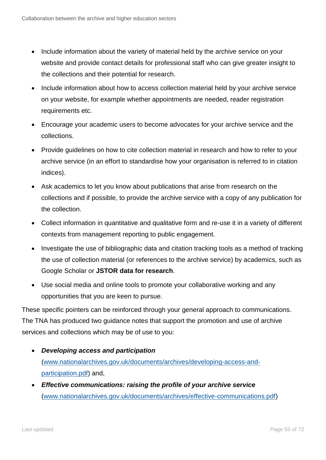- Include information about the variety of material held by the archive service on your website and provide contact details for professional staff who can give greater insight to the collections and their potential for research.
- Include information about how to access collection material held by your archive service on your website, for example whether appointments are needed, reader registration requirements etc.
- Encourage your academic users to become advocates for your archive service and the collections.
- Provide guidelines on how to cite collection material in research and how to refer to your archive service (in an effort to standardise how your organisation is referred to in citation indices).
- Ask academics to let you know about publications that arise from research on the collections and if possible, to provide the archive service with a copy of any publication for the collection.
- Collect information in quantitative and qualitative form and re-use it in a variety of different contexts from management reporting to public engagement.
- Investigate the use of bibliographic data and citation tracking tools as a method of tracking the use of collection material (or references to the archive service) by academics, such as Google Scholar or **JSTOR data for research**.
- Use social media and online tools to promote your collaborative working and any opportunities that you are keen to pursue.

These specific pointers can be reinforced through your general approach to communications. The TNA has produced two guidance notes that support the promotion and use of archive services and collections which may be of use to you:

- *Developing access and participation* [\(www.nationalarchives.gov.uk/documents/archives/developing-access-and](http://www.nationalarchives.gov.uk/documents/archives/developing-access-and-participation.pdf)[participation.pdf\)](http://www.nationalarchives.gov.uk/documents/archives/developing-access-and-participation.pdf) and,
- *Effective communications: raising the profile of your archive service*  [\(www.nationalarchives.gov.uk/documents/archives/effective-communications.pdf\)](http://www.nationalarchives.gov.uk/documents/archives/effective-communications.pdf)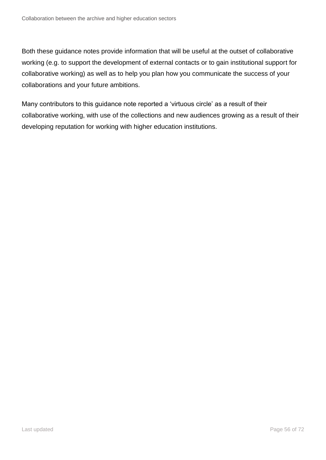Both these guidance notes provide information that will be useful at the outset of collaborative working (e.g. to support the development of external contacts or to gain institutional support for collaborative working) as well as to help you plan how you communicate the success of your collaborations and your future ambitions.

Many contributors to this guidance note reported a 'virtuous circle' as a result of their collaborative working, with use of the collections and new audiences growing as a result of their developing reputation for working with higher education institutions.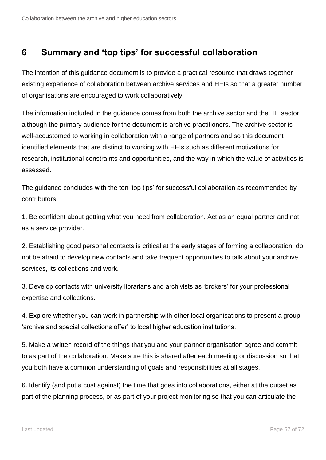# **6 Summary and 'top tips' for successful collaboration**

The intention of this guidance document is to provide a practical resource that draws together existing experience of collaboration between archive services and HEIs so that a greater number of organisations are encouraged to work collaboratively.

The information included in the guidance comes from both the archive sector and the HE sector, although the primary audience for the document is archive practitioners. The archive sector is well-accustomed to working in collaboration with a range of partners and so this document identified elements that are distinct to working with HEIs such as different motivations for research, institutional constraints and opportunities, and the way in which the value of activities is assessed.

The guidance concludes with the ten 'top tips' for successful collaboration as recommended by contributors.

1. Be confident about getting what you need from collaboration. Act as an equal partner and not as a service provider.

2. Establishing good personal contacts is critical at the early stages of forming a collaboration: do not be afraid to develop new contacts and take frequent opportunities to talk about your archive services, its collections and work.

3. Develop contacts with university librarians and archivists as 'brokers' for your professional expertise and collections.

4. Explore whether you can work in partnership with other local organisations to present a group 'archive and special collections offer' to local higher education institutions.

5. Make a written record of the things that you and your partner organisation agree and commit to as part of the collaboration. Make sure this is shared after each meeting or discussion so that you both have a common understanding of goals and responsibilities at all stages.

6. Identify (and put a cost against) the time that goes into collaborations, either at the outset as part of the planning process, or as part of your project monitoring so that you can articulate the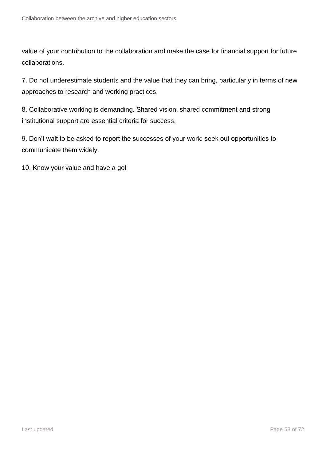value of your contribution to the collaboration and make the case for financial support for future collaborations.

7. Do not underestimate students and the value that they can bring, particularly in terms of new approaches to research and working practices.

8. Collaborative working is demanding. Shared vision, shared commitment and strong institutional support are essential criteria for success.

9. Don't wait to be asked to report the successes of your work: seek out opportunities to communicate them widely.

10. Know your value and have a go!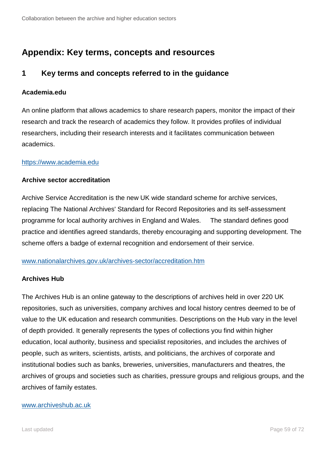# **Appendix: Key terms, concepts and resources**

## **1 Key terms and concepts referred to in the guidance**

## **Academia.edu**

An online platform that allows academics to share research papers, monitor the impact of their research and track the research of academics they follow. It provides profiles of individual researchers, including their research interests and it facilitates communication between academics.

## [https://www.academia.edu](https://www.academia.edu/)

## **Archive sector accreditation**

[Archive Service Accreditation](http://www.nationalarchives.gov.uk/archives-sector/archive-service-accreditation.htm) is the new UK wide standard scheme for archive services, replacing The National Archives' Standard for Record Repositories and its self-assessment programme for local authority archives in England and Wales. The standard defines good practice and identifies agreed standards, thereby encouraging and supporting development. The scheme offers a badge of external recognition and endorsement of their service.

## [www.nationalarchives.gov.uk/archives-sector/accreditation.htm](http://www.nationalarchives.gov.uk/archives-sector/accreditation.htm)

### **Archives Hub**

The Archives Hub is an online gateway to the descriptions of archives held in over 220 UK repositories, such as universities, company archives and local history centres deemed to be of value to the UK education and research communities. Descriptions on the Hub vary in the level of depth provided. It generally represents the types of collections you find within higher education, local authority, business and specialist repositories, and includes the archives of people, such as writers, scientists, artists, and politicians, the archives of corporate and institutional bodies such as banks, breweries, universities, manufacturers and theatres, the archives of groups and societies such as charities, pressure groups and religious groups, and the archives of family estates.

#### [www.archiveshub.ac.uk](http://www.archiveshub.ac.uk/)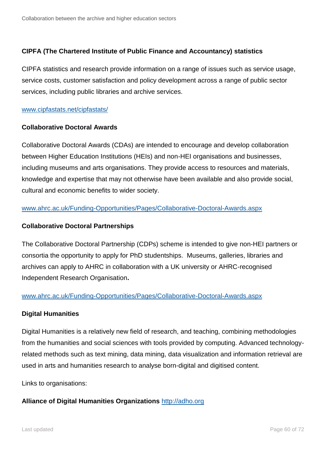## **CIPFA (The Chartered Institute of Public Finance and Accountancy) statistics**

CIPFA statistics and research provide information on a range of issues such as service usage, service costs, customer satisfaction and policy development across a range of public sector services, including public libraries and archive services.

#### [www.cipfastats.net/cipfastats/](http://www.cipfastats.net/cipfastats/)

#### **Collaborative Doctoral Awards**

Collaborative Doctoral Awards (CDAs) are intended to encourage and develop collaboration between Higher Education Institutions (HEIs) and non-HEI organisations and businesses, including museums and arts organisations. They provide access to resources and materials, knowledge and expertise that may not otherwise have been available and also provide social, cultural and economic benefits to wider society.

## [www.ahrc.ac.uk/Funding-Opportunities/Pages/Collaborative-Doctoral-Awards.aspx](http://www.ahrc.ac.uk/Funding-Opportunities/Pages/Collaborative-Doctoral-Awards.aspx)

### **Collaborative Doctoral Partnerships**

The Collaborative Doctoral Partnership (CDPs) scheme is intended to give non-HEI partners or consortia the opportunity to apply for PhD studentships. Museums, galleries, libraries and archives can apply to AHRC in collaboration with a UK university or AHRC-recognised Independent Research Organisation**.**

### [www.ahrc.ac.uk/Funding-Opportunities/Pages/Collaborative-Doctoral-Awards.aspx](http://www.ahrc.ac.uk/Funding-Opportunities/Pages/Collaborative-Doctoral-Awards.aspx)

### **Digital Humanities**

Digital Humanities is a relatively new field of research, and teaching, combining methodologies from the humanities and social sciences with tools provided by computing. Advanced technologyrelated methods such as text mining, data mining, data visualization and information retrieval are used in arts and humanities research to analyse born-digital and digitised content.

Links to organisations:

### **Alliance of Digital Humanities Organizations** [http://adho.org](http://adho.org/)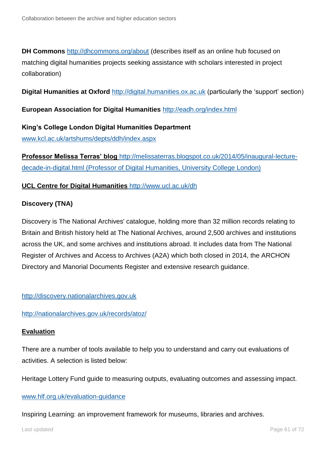**DH Commons** <http://dhcommons.org/about> (describes itself as an online hub focused on matching digital humanities projects seeking assistance with scholars interested in project collaboration)

**Digital Humanities at Oxford** [http://digital.humanities.ox.ac.uk](http://digital.humanities.ox.ac.uk/) (particularly the 'support' section)

**European Association for Digital Humanities** <http://eadh.org/index.html>

**King's College London Digital Humanities Department** [www.kcl.ac.uk/artshums/depts/ddh/index.aspx](http://www.kcl.ac.uk/artshums/depts/ddh/index.aspx)

**Professor Melissa Terras' blog** [http://melissaterras.blogspot.co.uk/2014/05/inaugural-lecture](http://melissaterras.blogspot.co.uk/2014/05/inaugural-lecture-decade-in-digital.html)[decade-in-digital.html](http://melissaterras.blogspot.co.uk/2014/05/inaugural-lecture-decade-in-digital.html) (Professor of Digital Humanities, University College London)

## **UCL Centre for Digital Humanities** <http://www.ucl.ac.uk/dh>

## **Discovery (TNA)**

Discovery is The National Archives' catalogue, holding more than 32 million records relating to Britain and British history held at The National Archives, around 2,500 archives and institutions across the UK, and some archives and institutions abroad. It includes data from The National Register of Archives and Access to Archives (A2A) which both closed in 2014, the ARCHON Directory and Manorial Documents Register and extensive research guidance.

[http://discovery.nationalarchives.gov.uk](http://discovery.nationalarchives.gov.uk/)

<http://nationalarchives.gov.uk/records/atoz/>

## **Evaluation**

There are a number of tools available to help you to understand and carry out evaluations of activities. A selection is listed below:

Heritage Lottery Fund guide to measuring outputs, evaluating outcomes and assessing impact.

### [www.hlf.org.uk/evaluation-guidance](http://www.hlf.org.uk/evaluation-guidance)

Inspiring Learning: an improvement framework for museums, libraries and archives.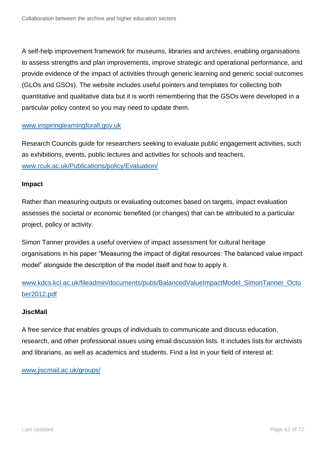A self-help improvement framework for museums, libraries and archives, enabling organisations to assess strengths and plan improvements, improve strategic and operational performance, and provide evidence of the impact of activities through generic learning and generic social outcomes (GLOs and GSOs). The website includes useful pointers and templates for collecting both quantitative and qualitative data but it is worth remembering that the GSOs were developed in a particular policy context so you may need to update them.

#### [www.inspiringlearningforall.gov.uk](http://www.inspiringlearningforall.gov.uk/)

Research Councils guide for researchers seeking to evaluate public engagement activities, such as exhibitions, events, public lectures and activities for schools and teachers. [www.rcuk.ac.uk/Publications/policy/Evaluation/](http://www.rcuk.ac.uk/Publications/policy/Evaluation/)

#### **Impact**

Rather than measuring outputs or evaluating outcomes based on targets, impact evaluation assesses the societal or economic benefited (or changes) that can be attributed to a particular project, policy or activity.

Simon Tanner provides a useful overview of impact assessment for cultural heritage organisations in his paper "Measuring the impact of digital resources: The balanced value impact model" alongside the description of the model itself and how to apply it.

[www.kdcs.kcl.ac.uk/fileadmin/documents/pubs/BalancedValueImpactModel\\_SimonTanner\\_Octo](http://www.kdcs.kcl.ac.uk/fileadmin/documents/pubs/BalancedValueImpactModel_SimonTanner_October2012.pdf) [ber2012.pdf](http://www.kdcs.kcl.ac.uk/fileadmin/documents/pubs/BalancedValueImpactModel_SimonTanner_October2012.pdf)

### **JiscMail**

A free service that enables groups of individuals to communicate and discuss education, research, and other professional issues using email discussion lists. It includes lists for archivists and librarians, as well as academics and students. Find a list in your field of interest at:

[www.jiscmail.ac.uk/groups/](http://www.jiscmail.ac.uk/groups/)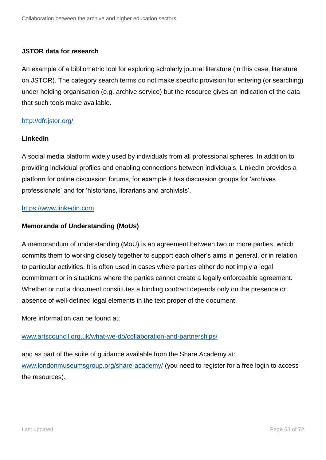### **JSTOR data for research**

An example of a bibliometric tool for exploring scholarly journal literature (in this case, literature on JSTOR). The category search terms do not make specific provision for entering (or searching) under holding organisation (e.g. archive service) but the resource gives an indication of the data that such tools make available.

## <http://dfr.jstor.org/>

## **LinkedIn**

A social media platform widely used by individuals from all professional spheres. In addition to providing individual profiles and enabling connections between individuals, LinkedIn provides a platform for online discussion forums, for example it has discussion groups for 'archives professionals' and for 'historians, librarians and archivists'.

## [https://www.linkedin.com](https://www.linkedin.com/)

## **Memoranda of Understanding (MoUs)**

A memorandum of understanding (MoU) is an agreement between two or more parties, which commits them to working closely together to support each other's aims in general, or in relation to particular activities. It is often used in cases where parties either do not imply a legal commitment or in situations where the parties cannot create a legally enforceable agreement. Whether or not a document constitutes a binding contract depends only on the presence or absence of well-defined legal elements in the text proper of the document.

More information can be found at;

### [www.artscouncil.org.uk/what-we-do/collaboration-and-partnerships/](http://www.artscouncil.org.uk/what-we-do/collaboration-and-partnerships/)

and as part of the suite of guidance available from the Share Academy at: [www.londonmuseumsgroup.org/share-academy/](http://www.londonmuseumsgroup.org/share-academy/) (you need to register for a free login to access the resources).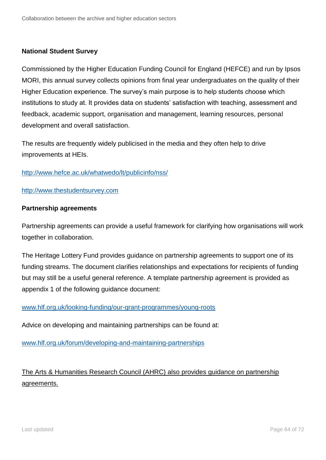## **National Student Survey**

Commissioned by the Higher Education Funding Council for England (HEFCE) and run by Ipsos MORI, this annual survey collects opinions from final year undergraduates on the quality of their Higher Education experience. The survey's main purpose is to help students choose which institutions to study at. It provides data on students' satisfaction with teaching, assessment and feedback, academic support, organisation and management, learning resources, personal development and overall satisfaction.

The results are frequently widely publicised in the media and they often help to drive improvements at HEIs.

#### <http://www.hefce.ac.uk/whatwedo/lt/publicinfo/nss/>

#### [http://www.thestudentsurvey.com](http://www.thestudentsurvey.com/)

#### **Partnership agreements**

Partnership agreements can provide a useful framework for clarifying how organisations will work together in collaboration.

The Heritage Lottery Fund provides guidance on partnership agreements to support one of its funding streams. The document clarifies relationships and expectations for recipients of funding but may still be a useful general reference. A template partnership agreement is provided as appendix 1 of the following guidance document:

### [www.hlf.org.uk/looking-funding/our-grant-programmes/young-roots](http://www.hlf.org.uk/looking-funding/our-grant-programmes/young-roots)

Advice on developing and maintaining partnerships can be found at:

[www.hlf.org.uk/forum/developing-and-maintaining-partnerships](http://www.hlf.org.uk/forum/developing-and-maintaining-partnerships)

# The Arts & Humanities Research Council (AHRC) also provides guidance on partnership agreements.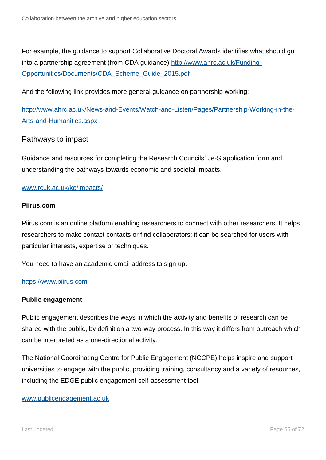For example, the guidance to support Collaborative Doctoral Awards identifies what should go into a partnership agreement (from CDA guidance) [http://www.ahrc.ac.uk/Funding-](http://www.ahrc.ac.uk/Funding-Opportunities/Documents/CDA_Scheme_Guide_2015.pdf)[Opportunities/Documents/CDA\\_Scheme\\_Guide\\_2015.pdf](http://www.ahrc.ac.uk/Funding-Opportunities/Documents/CDA_Scheme_Guide_2015.pdf)

And the following link provides more general guidance on partnership working:

[http://www.ahrc.ac.uk/News-and-Events/Watch-and-Listen/Pages/Partnership-Working-in-the-](http://www.ahrc.ac.uk/News-and-Events/Watch-and-Listen/Pages/Partnership-Working-in-the-Arts-and-Humanities.aspx)[Arts-and-Humanities.aspx](http://www.ahrc.ac.uk/News-and-Events/Watch-and-Listen/Pages/Partnership-Working-in-the-Arts-and-Humanities.aspx)

## Pathways to impact

Guidance and resources for completing the Research Councils' Je-S application form and understanding the pathways towards economic and societal impacts.

### [www.rcuk.ac.uk/ke/impacts/](http://www.rcuk.ac.uk/ke/impacts/)

### **Piirus.com**

Piirus.com is an online platform enabling researchers to connect with other researchers. It helps researchers to make contact contacts or find collaborators; it can be searched for users with particular interests, expertise or techniques.

You need to have an academic email address to sign up.

### [https://www.piirus.com](https://www.piirus.com/)

### **Public engagement**

Public engagement describes the ways in which the activity and benefits of research can be shared with the public, by definition a two-way process. In this way it differs from outreach which can be interpreted as a one-directional activity.

The National Coordinating Centre for Public Engagement (NCCPE) helps inspire and support universities to engage with the public, providing training, consultancy and a variety of resources, including the EDGE public engagement self-assessment tool.

#### [www.publicengagement.ac.uk](http://www.publicengagement.ac.uk/)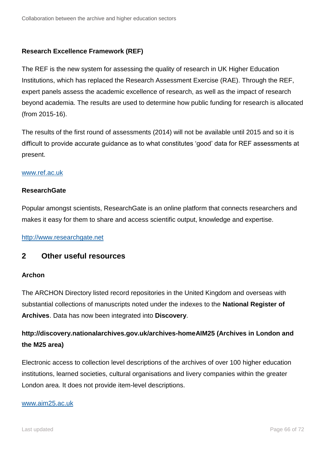## **Research Excellence Framework (REF)**

The REF is the new system for assessing the quality of research in UK Higher Education Institutions, which has replaced the Research Assessment Exercise (RAE). Through the REF, expert panels assess the academic excellence of research, as well as the impact of research beyond academia. The results are used to determine how public funding for research is allocated (from 2015-16).

The results of the first round of assessments (2014) will not be available until 2015 and so it is difficult to provide accurate guidance as to what constitutes 'good' data for REF assessments at present.

### [www.ref.ac.uk](http://www.ref.ac.uk/)

#### **ResearchGate**

Popular amongst scientists, ResearchGate is an online platform that connects researchers and makes it easy for them to share and access scientific output, knowledge and expertise.

[http://www.researchgate.net](http://www.researchgate.net/)

## **2 Other useful resources**

### **Archon**

The ARCHON Directory listed record repositories in the United Kingdom and overseas with substantial collections of manuscripts noted under the indexes to the **National Register of Archives**. Data has now been integrated into **Discovery**.

# **http://discovery.nationalarchives.gov.uk/archives-homeAIM25 (Archives in London and the M25 area)**

Electronic access to collection level descriptions of the archives of over 100 higher education institutions, learned societies, cultural organisations and livery companies within the greater London area. It does not provide item-level descriptions.

#### [www.aim25.ac.uk](http://www.aim25.ac.uk/)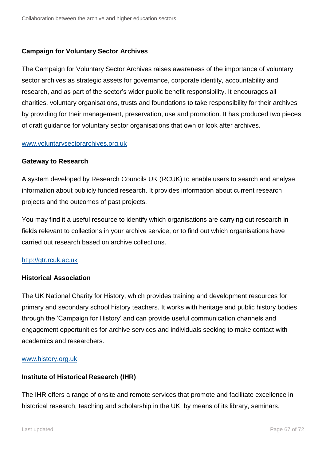## **Campaign for Voluntary Sector Archives**

The Campaign for Voluntary Sector Archives raises awareness of the importance of voluntary sector archives as strategic assets for governance, corporate identity, accountability and research, and as part of the sector's wider public benefit responsibility. It encourages all charities, voluntary organisations, trusts and foundations to take responsibility for their archives by providing for their management, preservation, use and promotion. It has produced two pieces of draft guidance for voluntary sector organisations that own or look after archives.

#### [www.voluntarysectorarchives.org.uk](http://www.voluntarysectorarchives.org.uk/)

#### **Gateway to Research**

A system developed by Research Councils UK (RCUK) to enable users to search and analyse information about publicly funded research. It provides information about current research projects and the outcomes of past projects.

You may find it a useful resource to identify which organisations are carrying out research in fields relevant to collections in your archive service, or to find out which organisations have carried out research based on archive collections.

### [http://gtr.rcuk.ac.uk](http://gtr.rcuk.ac.uk/)

### **Historical Association**

The UK National Charity for History, which provides training and development resources for primary and secondary school history teachers. It works with heritage and public history bodies through the 'Campaign for History' and can provide useful communication channels and engagement opportunities for archive services and individuals seeking to make contact with academics and researchers.

#### [www.history.org.uk](http://www.history.org.uk/)

### **Institute of Historical Research (IHR)**

The IHR offers a range of onsite and remote services that promote and facilitate excellence in historical research, teaching and scholarship in the UK, by means of its library, seminars,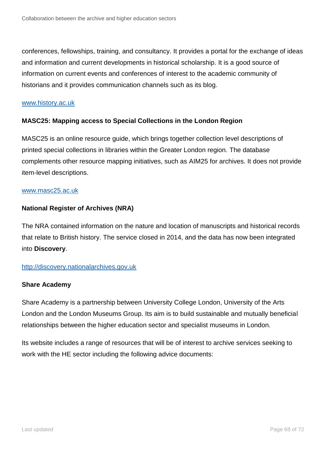conferences, fellowships, training, and consultancy. It provides a portal for the exchange of ideas and information and current developments in historical scholarship. It is a good source of information on current events and conferences of interest to the academic community of historians and it provides communication channels such as its blog.

#### [www.history.ac.uk](http://www.history.ac.uk/)

## **MASC25: Mapping access to Special Collections in the London Region**

MASC25 is an online resource guide, which brings together collection level descriptions of printed special collections in libraries within the Greater London region. The database complements other resource mapping initiatives, such as [AIM25](http://www.aim25.ac.uk/) for archives. It does not provide item-level descriptions.

#### [www.masc25.ac.uk](http://www.masc25.ac.uk/)

## **National Register of Archives (NRA)**

The NRA contained information on the nature and location of manuscripts and historical records that relate to British history. The service closed in 2014, and the data has now been integrated into **Discovery**.

### [http://discovery.nationalarchives.gov.uk](http://discovery.nationalarchives.gov.uk/)

### **Share Academy**

Share Academy is a partnership between University College London, University of the Arts London and the London Museums Group. Its aim is to build sustainable and mutually beneficial relationships between the higher education sector and specialist museums in London.

Its website includes a range of resources that will be of interest to archive services seeking to work with the HE sector including the following advice documents: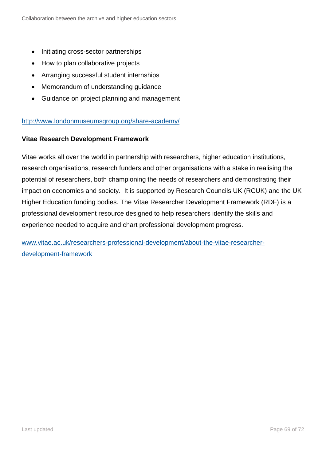- Initiating cross-sector partnerships
- How to plan collaborative projects
- Arranging successful student internships
- Memorandum of understanding guidance
- Guidance on project planning and management

### <http://www.londonmuseumsgroup.org/share-academy/>

### **Vitae Research Development Framework**

Vitae works all over the world in partnership with researchers, higher education institutions, research organisations, research funders and other organisations with a stake in realising the potential of researchers, both championing the needs of researchers and demonstrating their impact on economies and society. It is supported by Research Councils UK (RCUK) and the UK Higher Education funding bodies. The [Vitae Researcher Development Framework \(RDF\)](https://www.vitae.ac.uk/researchers-professional-development/about-the-vitae-researcher-development-framework) is a professional development resource designed to help researchers identify the skills and experience needed to acquire and chart professional development progress.

[www.vitae.ac.uk/researchers-professional-development/about-the-vitae-researcher](http://www.vitae.ac.uk/researchers-professional-development/about-the-vitae-researcher-development-framework)[development-framework](http://www.vitae.ac.uk/researchers-professional-development/about-the-vitae-researcher-development-framework)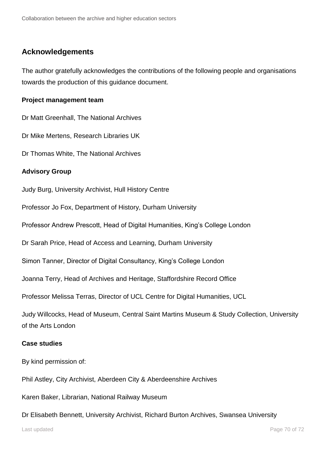## **Acknowledgements**

The author gratefully acknowledges the contributions of the following people and organisations towards the production of this guidance document.

## **Project management team**

Dr Matt Greenhall, The National Archives

Dr Mike Mertens, Research Libraries UK

Dr Thomas White, The National Archives

## **Advisory Group**

Judy Burg, University Archivist, Hull History Centre

Professor Jo Fox, Department of History, Durham University

Professor Andrew Prescott, Head of Digital Humanities, King's College London

Dr Sarah Price, Head of Access and Learning, Durham University

Simon Tanner, Director of Digital Consultancy, King's College London

Joanna Terry, Head of Archives and Heritage, Staffordshire Record Office

Professor Melissa Terras, Director of UCL Centre for Digital Humanities, UCL

Judy Willcocks, Head of Museum, Central Saint Martins Museum & Study Collection, University of the Arts London

### **Case studies**

By kind permission of:

Phil Astley, City Archivist, Aberdeen City & Aberdeenshire Archives

Karen Baker, Librarian, National Railway Museum

Dr Elisabeth Bennett, University Archivist, Richard Burton Archives, Swansea University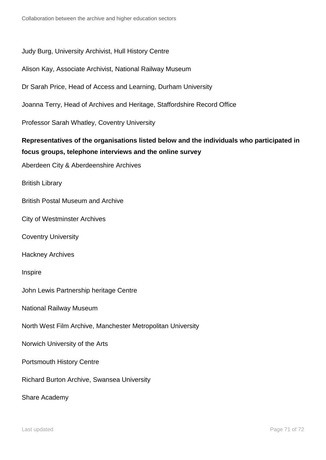## Judy Burg, University Archivist, Hull History Centre

Alison Kay, Associate Archivist, National Railway Museum

Dr Sarah Price, Head of Access and Learning, Durham University

Joanna Terry, Head of Archives and Heritage, Staffordshire Record Office

Professor Sarah Whatley, Coventry University

## **Representatives of the organisations listed below and the individuals who participated in focus groups, telephone interviews and the online survey**

Aberdeen City & Aberdeenshire Archives

British Library

British Postal Museum and Archive

City of Westminster Archives

Coventry University

Hackney Archives

Inspire

John Lewis Partnership heritage Centre

National Railway Museum

North West Film Archive, Manchester Metropolitan University

Norwich University of the Arts

Portsmouth History Centre

Richard Burton Archive, Swansea University

Share Academy